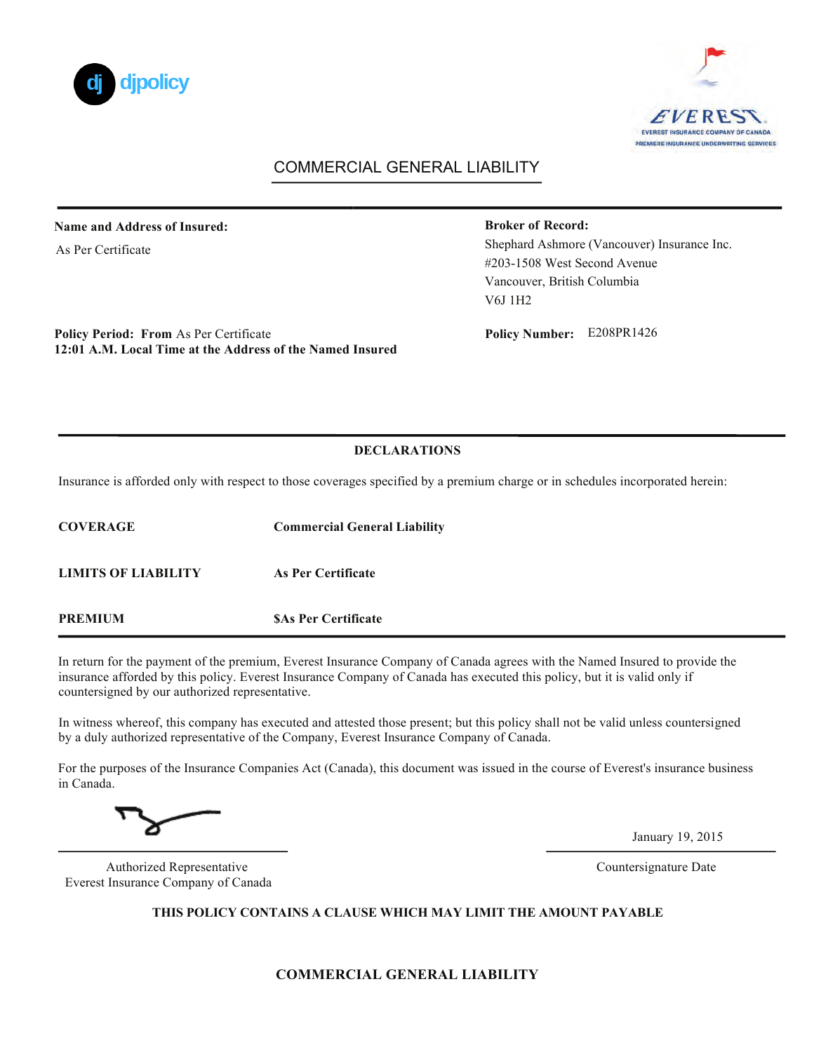



# COMMERCIAL GENERAL LIABILITY

#### **Name and Address of Insured:**

As Per Certificate

#### **Broker of Record:**

Shephard Ashmore (Vancouver) Insurance Inc. #203-1508 West Second Avenue Vancouver, British Columbia V6J 1H2

**Policy Period: From As Per Certificate 12:01 A.M. Local Time at the Address of the Named Insured**  Policy Number: E208PR1426

#### **DECLARATIONS**

Insurance is afforded only with respect to those coverages specified by a premium charge or in schedules incorporated herein:

| <b>COVERAGE</b>     | <b>Commercial General Liability</b> |
|---------------------|-------------------------------------|
| LIMITS OF LIABILITY | As Per Certificate                  |
| <b>PREMIUM</b>      | <b>SAs Per Certificate</b>          |

In return for the payment of the premium, Everest Insurance Company of Canada agrees with the Named Insured to provide the insurance afforded by this policy. Everest Insurance Company of Canada has executed this policy, but it is valid only if countersigned by our authorized representative.

In witness whereof, this company has executed and attested those present; but this policy shall not be valid unless countersigned by a duly authorized representative of the Company, Everest Insurance Company of Canada.

For the purposes of the Insurance Companies Act (Canada), this document was issued in the course of Everest's insurance business in Canada.

January 19, 2015

Authorized Representative Countersignature Date Everest Insurance Company of Canada

**THIS POLICY CONTAINS A CLAUSE WHICH MAY LIMIT THE AMOUNT PAYABLE**

**COMMERCIAL GENERAL LIABILITY**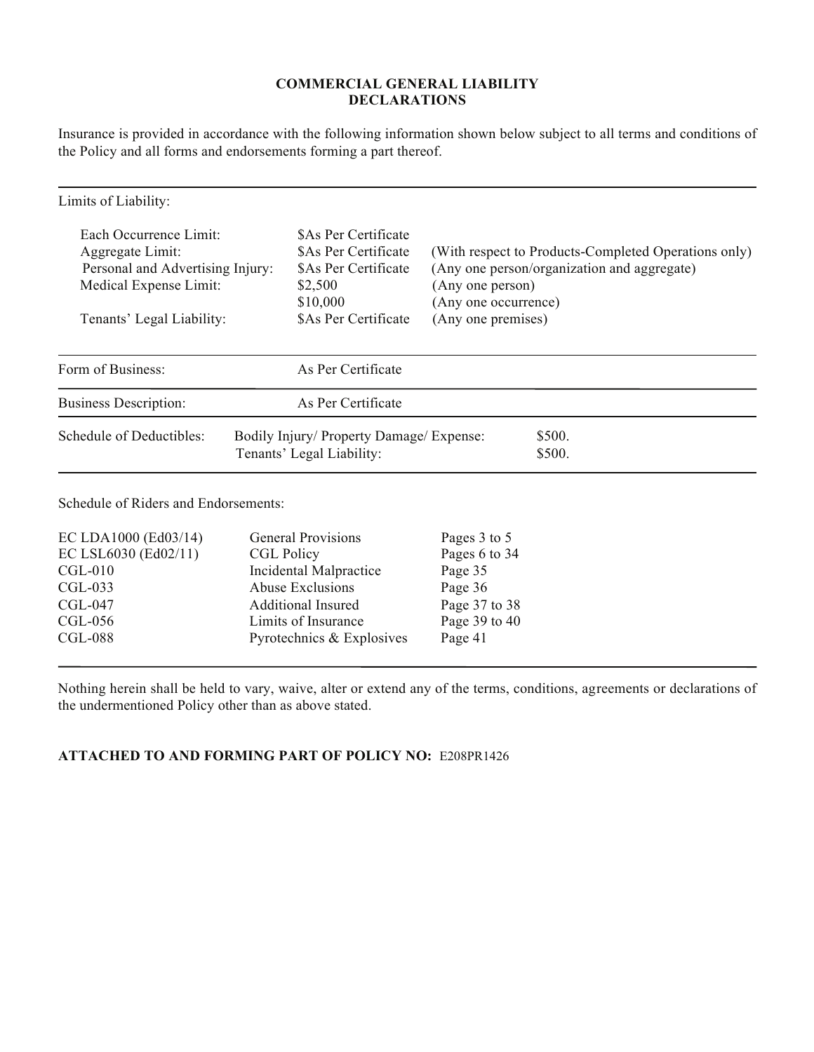### **COMMERCIAL GENERAL LIABILITY DECLARATIONS**

Insurance is provided in accordance with the following information shown below subject to all terms and conditions of the Policy and all forms and endorsements forming a part thereof.

| Limits of Liability:                                                                                     |                                                                                                        |                                          |                                                                                                     |
|----------------------------------------------------------------------------------------------------------|--------------------------------------------------------------------------------------------------------|------------------------------------------|-----------------------------------------------------------------------------------------------------|
| Each Occurrence Limit:<br>Aggregate Limit:<br>Personal and Advertising Injury:<br>Medical Expense Limit: | SAs Per Certificate<br><b>SAs Per Certificate</b><br><b>SAs Per Certificate</b><br>\$2,500<br>\$10,000 | (Any one person)<br>(Any one occurrence) | (With respect to Products-Completed Operations only)<br>(Any one person/organization and aggregate) |
| Tenants' Legal Liability:                                                                                | <b>SAs Per Certificate</b>                                                                             | (Any one premises)                       |                                                                                                     |
| Form of Business:                                                                                        | As Per Certificate                                                                                     |                                          |                                                                                                     |
| <b>Business Description:</b>                                                                             | As Per Certificate                                                                                     |                                          |                                                                                                     |
| Schedule of Deductibles:                                                                                 | Bodily Injury/ Property Damage/ Expense:<br>Tenants' Legal Liability:                                  |                                          | \$500.<br>\$500.                                                                                    |

Schedule of Riders and Endorsements:

| EC LDA1000 (Ed03/14) | <b>General Provisions</b> | Pages 3 to 5  |
|----------------------|---------------------------|---------------|
| EC LSL6030 (Ed02/11) | <b>CGL Policy</b>         | Pages 6 to 34 |
| $CGL-010$            | Incidental Malpractice    | Page 35       |
| $CGL-033$            | Abuse Exclusions          | Page 36       |
| $CGL-047$            | <b>Additional Insured</b> | Page 37 to 38 |
| $CGL-056$            | Limits of Insurance       | Page 39 to 40 |
| <b>CGL-088</b>       | Pyrotechnics & Explosives | Page 41       |

Nothing herein shall be held to vary, waive, alter or extend any of the terms, conditions, agreements or declarations of the undermentioned Policy other than as above stated.

## **ATTACHED TO AND FORMING PART OF POLICY NO:** E208PR1426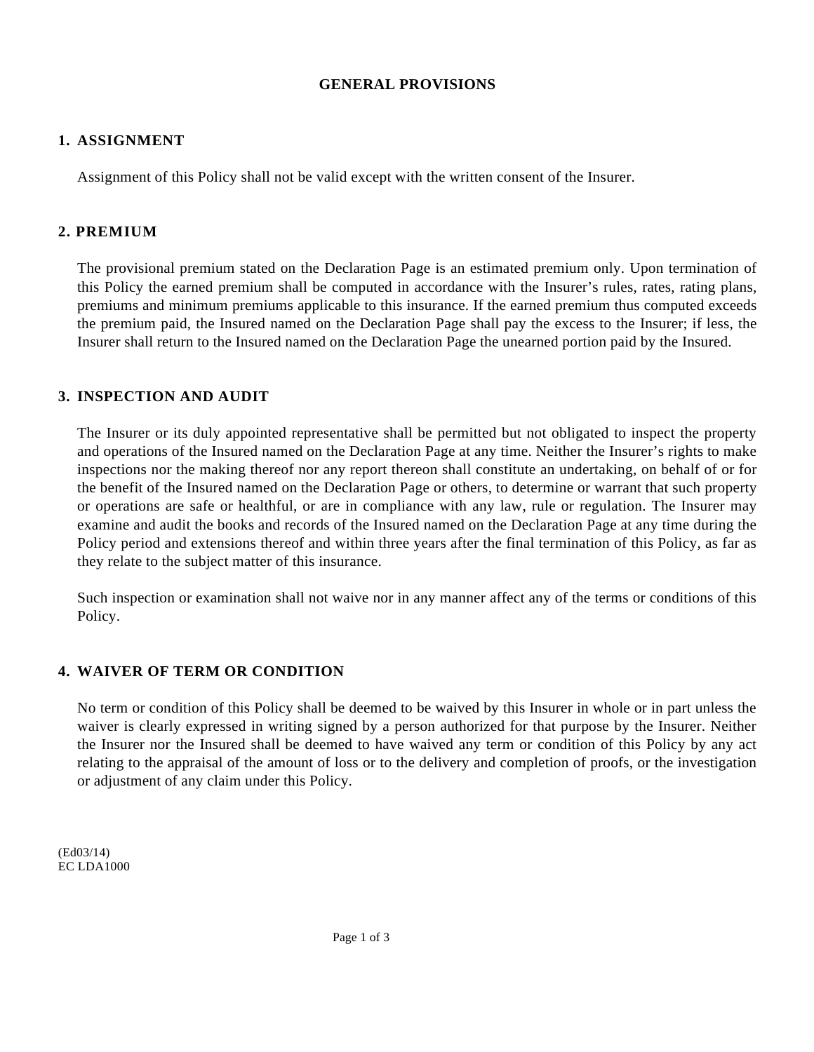## **GENERAL PROVISIONS**

## **1. ASSIGNMENT**

Assignment of this Policy shall not be valid except with the written consent of the Insurer.

## **2. PREMIUM**

The provisional premium stated on the Declaration Page is an estimated premium only. Upon termination of this Policy the earned premium shall be computed in accordance with the Insurer's rules, rates, rating plans, premiums and minimum premiums applicable to this insurance. If the earned premium thus computed exceeds the premium paid, the Insured named on the Declaration Page shall pay the excess to the Insurer; if less, the Insurer shall return to the Insured named on the Declaration Page the unearned portion paid by the Insured.

## **3. INSPECTION AND AUDIT**

The Insurer or its duly appointed representative shall be permitted but not obligated to inspect the property and operations of the Insured named on the Declaration Page at any time. Neither the Insurer's rights to make inspections nor the making thereof nor any report thereon shall constitute an undertaking, on behalf of or for the benefit of the Insured named on the Declaration Page or others, to determine or warrant that such property or operations are safe or healthful, or are in compliance with any law, rule or regulation. The Insurer may examine and audit the books and records of the Insured named on the Declaration Page at any time during the Policy period and extensions thereof and within three years after the final termination of this Policy, as far as they relate to the subject matter of this insurance.

Such inspection or examination shall not waive nor in any manner affect any of the terms or conditions of this Policy.

# **4. WAIVER OF TERM OR CONDITION**

No term or condition of this Policy shall be deemed to be waived by this Insurer in whole or in part unless the waiver is clearly expressed in writing signed by a person authorized for that purpose by the Insurer. Neither the Insurer nor the Insured shall be deemed to have waived any term or condition of this Policy by any act relating to the appraisal of the amount of loss or to the delivery and completion of proofs, or the investigation or adjustment of any claim under this Policy.

(Ed03/14) EC LDA1000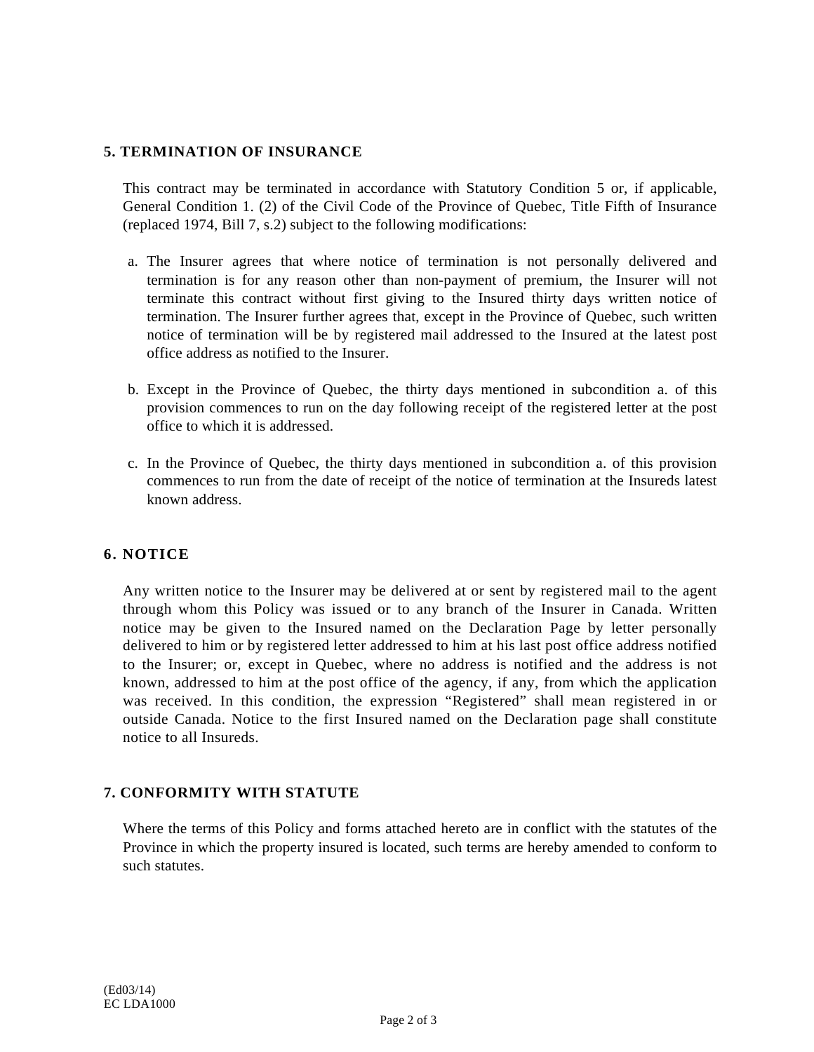### **5. TERMINATION OF INSURANCE**

This contract may be terminated in accordance with Statutory Condition 5 or, if applicable, General Condition 1. (2) of the Civil Code of the Province of Quebec, Title Fifth of Insurance (replaced 1974, Bill 7, s.2) subject to the following modifications:

- a. The Insurer agrees that where notice of termination is not personally delivered and termination is for any reason other than non-payment of premium, the Insurer will not terminate this contract without first giving to the Insured thirty days written notice of termination. The Insurer further agrees that, except in the Province of Quebec, such written notice of termination will be by registered mail addressed to the Insured at the latest post office address as notified to the Insurer.
- b. Except in the Province of Quebec, the thirty days mentioned in subcondition a. of this provision commences to run on the day following receipt of the registered letter at the post office to which it is addressed.
- c. In the Province of Quebec, the thirty days mentioned in subcondition a. of this provision commences to run from the date of receipt of the notice of termination at the Insureds latest known address.

### **6. NOTICE**

Any written notice to the Insurer may be delivered at or sent by registered mail to the agent through whom this Policy was issued or to any branch of the Insurer in Canada. Written notice may be given to the Insured named on the Declaration Page by letter personally delivered to him or by registered letter addressed to him at his last post office address notified to the Insurer; or, except in Quebec, where no address is notified and the address is not known, addressed to him at the post office of the agency, if any, from which the application was received. In this condition, the expression "Registered" shall mean registered in or outside Canada. Notice to the first Insured named on the Declaration page shall constitute notice to all Insureds.

### **7. CONFORMITY WITH STATUTE**

Where the terms of this Policy and forms attached hereto are in conflict with the statutes of the Province in which the property insured is located, such terms are hereby amended to conform to such statutes.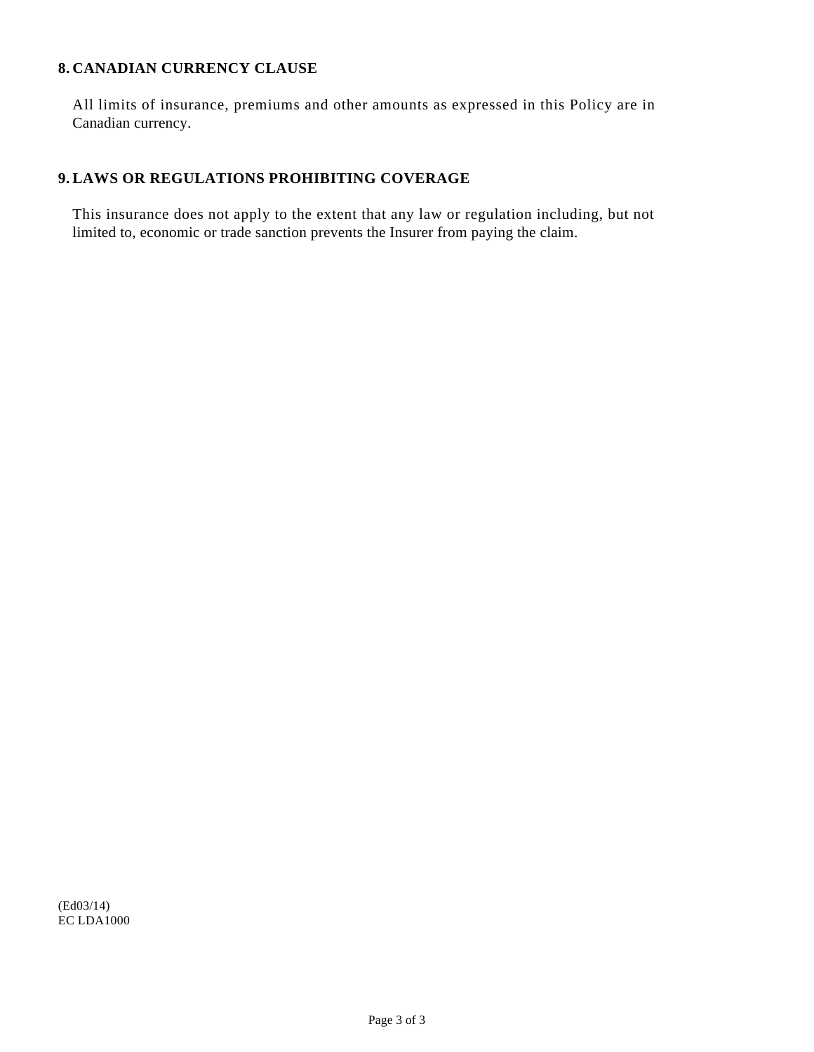### **8. CANADIAN CURRENCY CLAUSE**

All limits of insurance, premiums and other amounts as expressed in this Policy are in Canadian currency.

## **9. LAWS OR REGULATIONS PROHIBITING COVERAGE**

This insurance does not apply to the extent that any law or regulation including, but not limited to, economic or trade sanction prevents the Insurer from paying the claim.

(Ed03/14) EC LDA1000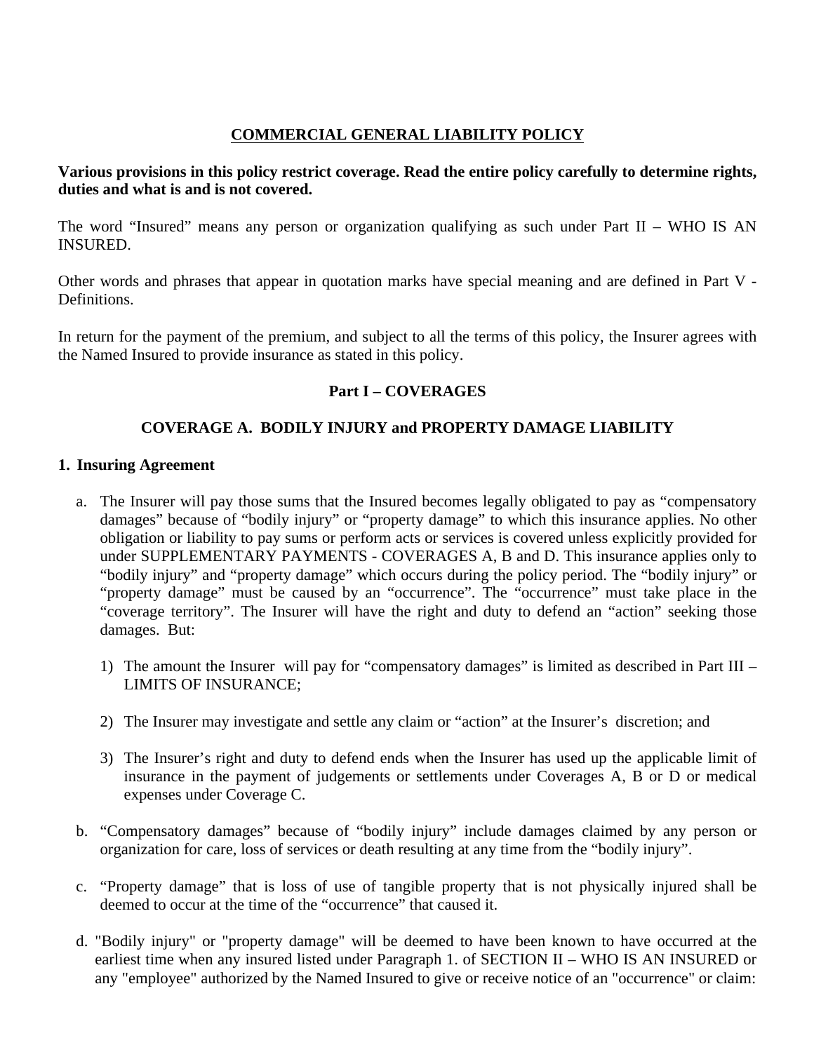# **COMMERCIAL GENERAL LIABILITY POLICY**

# **Various provisions in this policy restrict coverage. Read the entire policy carefully to determine rights, duties and what is and is not covered.**

The word "Insured" means any person or organization qualifying as such under Part II – WHO IS AN INSURED.

Other words and phrases that appear in quotation marks have special meaning and are defined in Part V - Definitions.

In return for the payment of the premium, and subject to all the terms of this policy, the Insurer agrees with the Named Insured to provide insurance as stated in this policy.

# **Part I – COVERAGES**

# **COVERAGE A. BODILY INJURY and PROPERTY DAMAGE LIABILITY**

## **1. Insuring Agreement**

- a. The Insurer will pay those sums that the Insured becomes legally obligated to pay as "compensatory damages" because of "bodily injury" or "property damage" to which this insurance applies. No other obligation or liability to pay sums or perform acts or services is covered unless explicitly provided for under SUPPLEMENTARY PAYMENTS - COVERAGES A, B and D. This insurance applies only to "bodily injury" and "property damage" which occurs during the policy period. The "bodily injury" or "property damage" must be caused by an "occurrence". The "occurrence" must take place in the "coverage territory". The Insurer will have the right and duty to defend an "action" seeking those damages. But:
	- 1) The amount the Insurer will pay for "compensatory damages" is limited as described in Part III LIMITS OF INSURANCE;
	- 2) The Insurer may investigate and settle any claim or "action" at the Insurer's discretion; and
	- 3) The Insurer's right and duty to defend ends when the Insurer has used up the applicable limit of insurance in the payment of judgements or settlements under Coverages A, B or D or medical expenses under Coverage C.
- b. "Compensatory damages" because of "bodily injury" include damages claimed by any person or organization for care, loss of services or death resulting at any time from the "bodily injury".
- c. "Property damage" that is loss of use of tangible property that is not physically injured shall be deemed to occur at the time of the "occurrence" that caused it.
- d. "Bodily injury" or "property damage" will be deemed to have been known to have occurred at the earliest time when any insured listed under Paragraph 1. of SECTION II – WHO IS AN INSURED or any "employee" authorized by the Named Insured to give or receive notice of an "occurrence" or claim: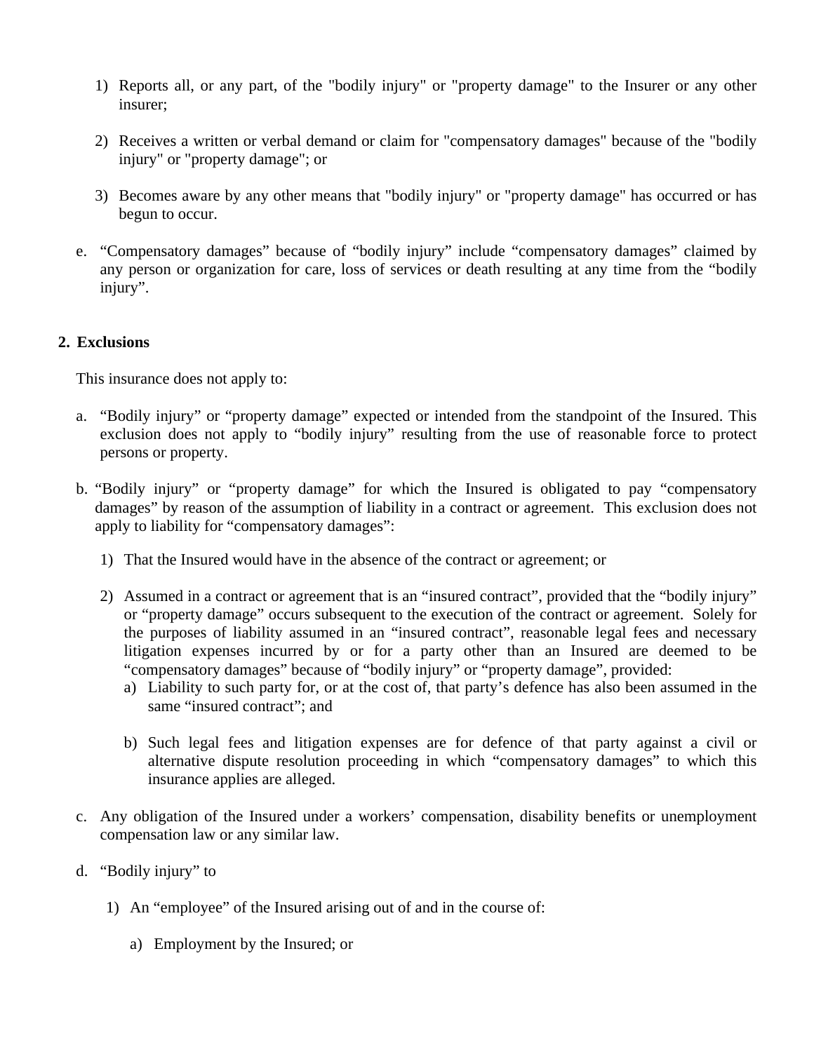- 1) Reports all, or any part, of the "bodily injury" or "property damage" to the Insurer or any other insurer;
- 2) Receives a written or verbal demand or claim for "compensatory damages" because of the "bodily injury" or "property damage"; or
- 3) Becomes aware by any other means that "bodily injury" or "property damage" has occurred or has begun to occur.
- e. "Compensatory damages" because of "bodily injury" include "compensatory damages" claimed by any person or organization for care, loss of services or death resulting at any time from the "bodily injury".

## **2. Exclusions**

This insurance does not apply to:

- a. "Bodily injury" or "property damage" expected or intended from the standpoint of the Insured. This exclusion does not apply to "bodily injury" resulting from the use of reasonable force to protect persons or property.
- b. "Bodily injury" or "property damage" for which the Insured is obligated to pay "compensatory damages" by reason of the assumption of liability in a contract or agreement. This exclusion does not apply to liability for "compensatory damages":
	- 1) That the Insured would have in the absence of the contract or agreement; or
	- 2) Assumed in a contract or agreement that is an "insured contract", provided that the "bodily injury" or "property damage" occurs subsequent to the execution of the contract or agreement. Solely for the purposes of liability assumed in an "insured contract", reasonable legal fees and necessary litigation expenses incurred by or for a party other than an Insured are deemed to be "compensatory damages" because of "bodily injury" or "property damage", provided:
		- a) Liability to such party for, or at the cost of, that party's defence has also been assumed in the same "insured contract"; and
		- b) Such legal fees and litigation expenses are for defence of that party against a civil or alternative dispute resolution proceeding in which "compensatory damages" to which this insurance applies are alleged.
- c. Any obligation of the Insured under a workers' compensation, disability benefits or unemployment compensation law or any similar law.
- d. "Bodily injury" to
	- 1) An "employee" of the Insured arising out of and in the course of:
		- a) Employment by the Insured; or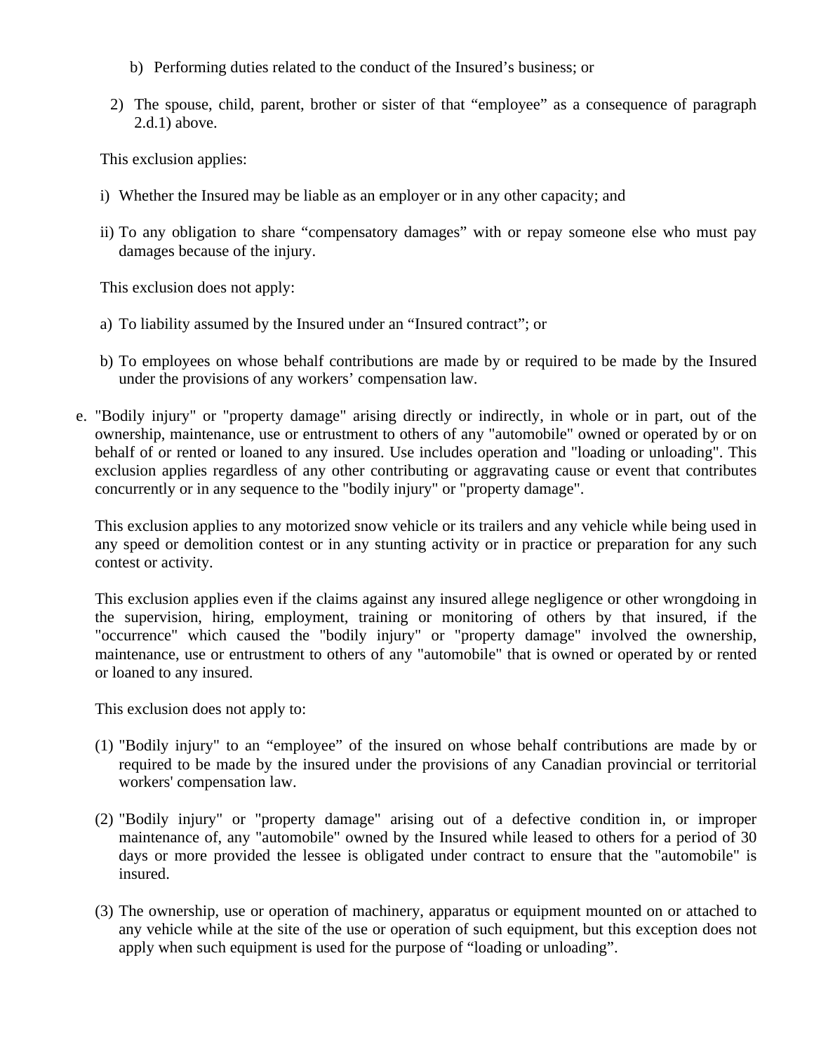- b) Performing duties related to the conduct of the Insured's business; or
- 2) The spouse, child, parent, brother or sister of that "employee" as a consequence of paragraph 2.d.1) above.

This exclusion applies:

- i) Whether the Insured may be liable as an employer or in any other capacity; and
- ii) To any obligation to share "compensatory damages" with or repay someone else who must pay damages because of the injury.

This exclusion does not apply:

- a) To liability assumed by the Insured under an "Insured contract"; or
- b) To employees on whose behalf contributions are made by or required to be made by the Insured under the provisions of any workers' compensation law.
- e. "Bodily injury" or "property damage" arising directly or indirectly, in whole or in part, out of the ownership, maintenance, use or entrustment to others of any "automobile" owned or operated by or on behalf of or rented or loaned to any insured. Use includes operation and "loading or unloading". This exclusion applies regardless of any other contributing or aggravating cause or event that contributes concurrently or in any sequence to the "bodily injury" or "property damage".

This exclusion applies to any motorized snow vehicle or its trailers and any vehicle while being used in any speed or demolition contest or in any stunting activity or in practice or preparation for any such contest or activity.

This exclusion applies even if the claims against any insured allege negligence or other wrongdoing in the supervision, hiring, employment, training or monitoring of others by that insured, if the "occurrence" which caused the "bodily injury" or "property damage" involved the ownership, maintenance, use or entrustment to others of any "automobile" that is owned or operated by or rented or loaned to any insured.

This exclusion does not apply to:

- (1) "Bodily injury" to an "employee" of the insured on whose behalf contributions are made by or required to be made by the insured under the provisions of any Canadian provincial or territorial workers' compensation law.
- (2) "Bodily injury" or "property damage" arising out of a defective condition in, or improper maintenance of, any "automobile" owned by the Insured while leased to others for a period of 30 days or more provided the lessee is obligated under contract to ensure that the "automobile" is insured.
- (3) The ownership, use or operation of machinery, apparatus or equipment mounted on or attached to any vehicle while at the site of the use or operation of such equipment, but this exception does not apply when such equipment is used for the purpose of "loading or unloading".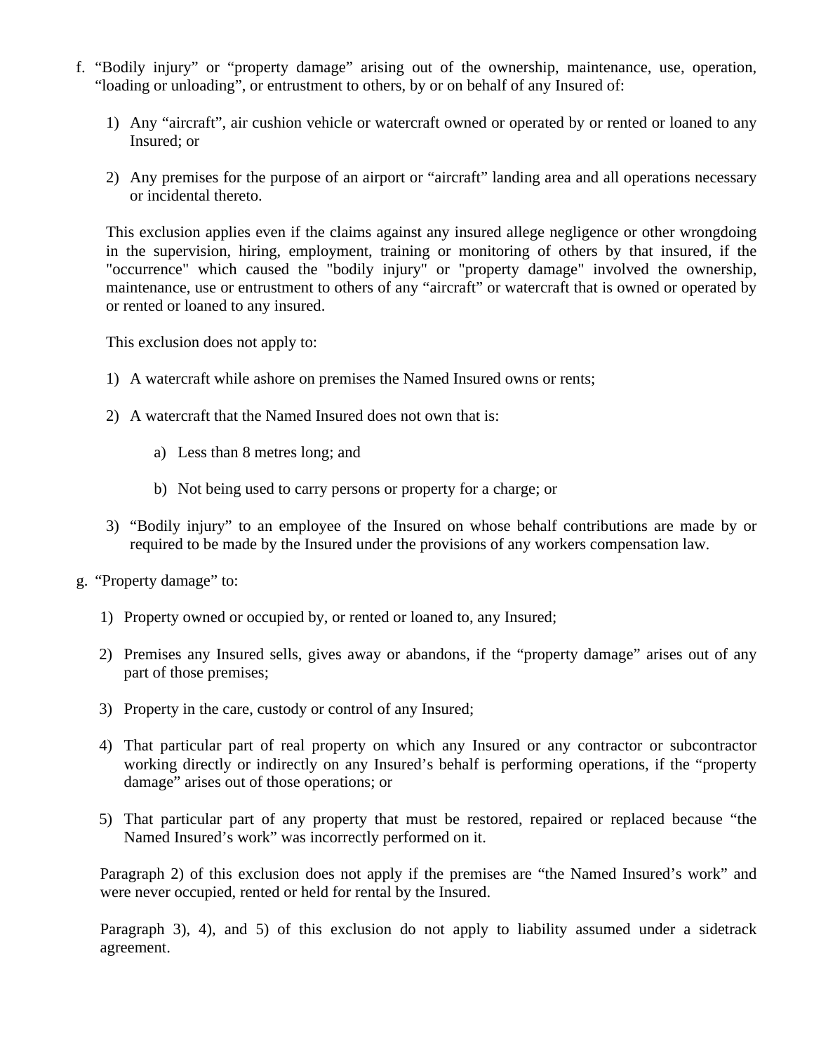- f. "Bodily injury" or "property damage" arising out of the ownership, maintenance, use, operation, "loading or unloading", or entrustment to others, by or on behalf of any Insured of:
	- 1) Any "aircraft", air cushion vehicle or watercraft owned or operated by or rented or loaned to any Insured; or
	- 2) Any premises for the purpose of an airport or "aircraft" landing area and all operations necessary or incidental thereto.

This exclusion applies even if the claims against any insured allege negligence or other wrongdoing in the supervision, hiring, employment, training or monitoring of others by that insured, if the "occurrence" which caused the "bodily injury" or "property damage" involved the ownership, maintenance, use or entrustment to others of any "aircraft" or watercraft that is owned or operated by or rented or loaned to any insured.

This exclusion does not apply to:

- 1) A watercraft while ashore on premises the Named Insured owns or rents;
- 2) A watercraft that the Named Insured does not own that is:
	- a) Less than 8 metres long; and
	- b) Not being used to carry persons or property for a charge; or
- 3) "Bodily injury" to an employee of the Insured on whose behalf contributions are made by or required to be made by the Insured under the provisions of any workers compensation law.
- g. "Property damage" to:
	- 1) Property owned or occupied by, or rented or loaned to, any Insured;
	- 2) Premises any Insured sells, gives away or abandons, if the "property damage" arises out of any part of those premises;
	- 3) Property in the care, custody or control of any Insured;
	- 4) That particular part of real property on which any Insured or any contractor or subcontractor working directly or indirectly on any Insured's behalf is performing operations, if the "property damage" arises out of those operations; or
	- 5) That particular part of any property that must be restored, repaired or replaced because "the Named Insured's work" was incorrectly performed on it.

Paragraph 2) of this exclusion does not apply if the premises are "the Named Insured's work" and were never occupied, rented or held for rental by the Insured.

Paragraph 3), 4), and 5) of this exclusion do not apply to liability assumed under a sidetrack agreement.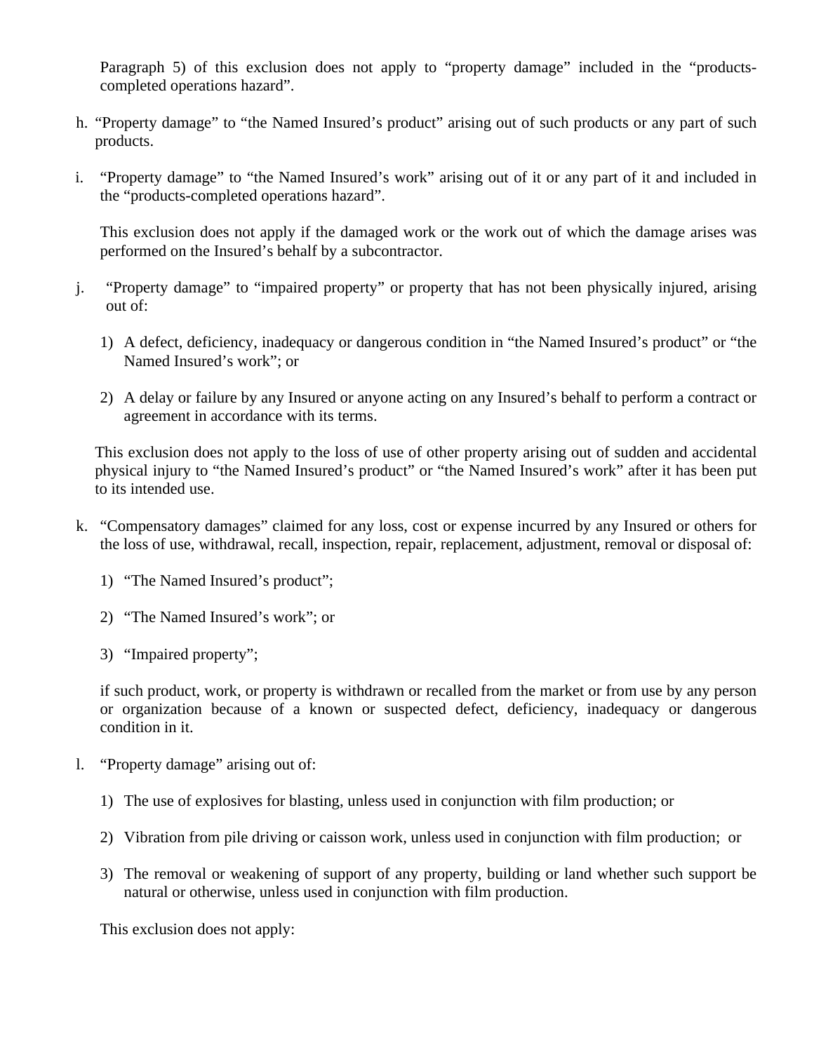Paragraph 5) of this exclusion does not apply to "property damage" included in the "productscompleted operations hazard".

- h. "Property damage" to "the Named Insured's product" arising out of such products or any part of such products.
- i. "Property damage" to "the Named Insured's work" arising out of it or any part of it and included in the "products-completed operations hazard".

This exclusion does not apply if the damaged work or the work out of which the damage arises was performed on the Insured's behalf by a subcontractor.

- j. "Property damage" to "impaired property" or property that has not been physically injured, arising out of:
	- 1) A defect, deficiency, inadequacy or dangerous condition in "the Named Insured's product" or "the Named Insured's work"; or
	- 2) A delay or failure by any Insured or anyone acting on any Insured's behalf to perform a contract or agreement in accordance with its terms.

This exclusion does not apply to the loss of use of other property arising out of sudden and accidental physical injury to "the Named Insured's product" or "the Named Insured's work" after it has been put to its intended use.

- k. "Compensatory damages" claimed for any loss, cost or expense incurred by any Insured or others for the loss of use, withdrawal, recall, inspection, repair, replacement, adjustment, removal or disposal of:
	- 1) "The Named Insured's product";
	- 2) "The Named Insured's work"; or
	- 3) "Impaired property";

if such product, work, or property is withdrawn or recalled from the market or from use by any person or organization because of a known or suspected defect, deficiency, inadequacy or dangerous condition in it.

- l. "Property damage" arising out of:
	- 1) The use of explosives for blasting, unless used in conjunction with film production; or
	- 2) Vibration from pile driving or caisson work, unless used in conjunction with film production; or
	- 3) The removal or weakening of support of any property, building or land whether such support be natural or otherwise, unless used in conjunction with film production.

This exclusion does not apply: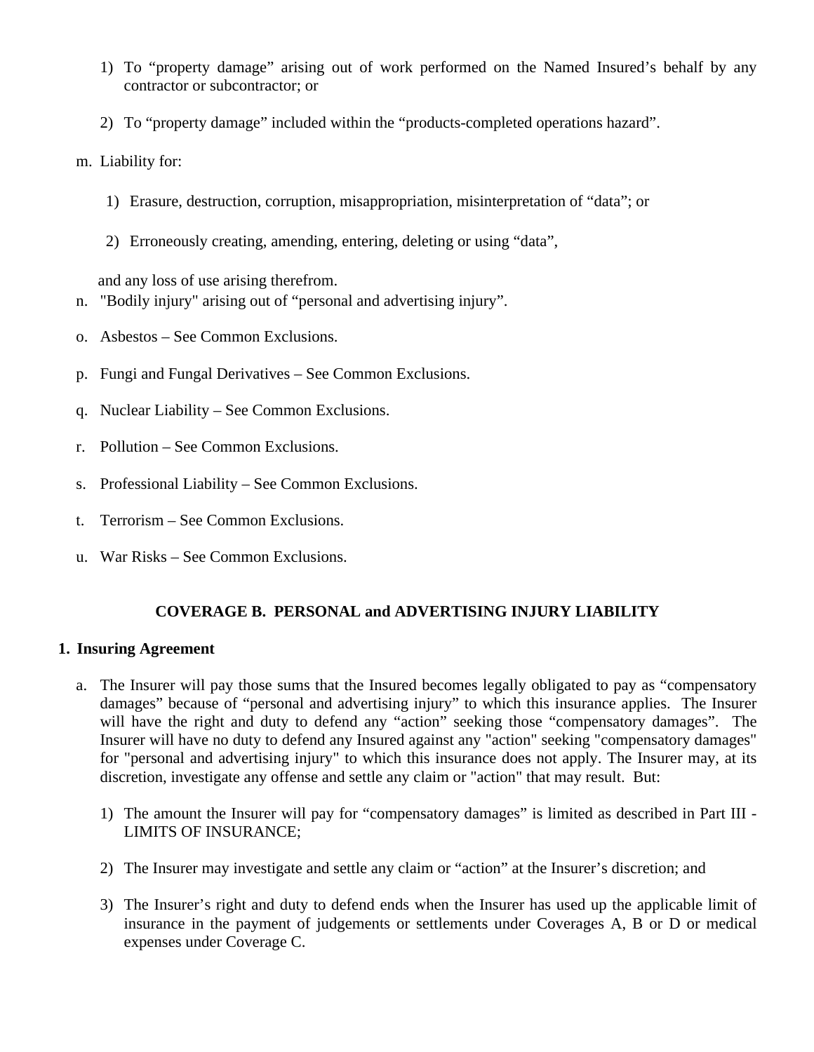- 1) To "property damage" arising out of work performed on the Named Insured's behalf by any contractor or subcontractor; or
- 2) To "property damage" included within the "products-completed operations hazard".
- m. Liability for:
	- 1) Erasure, destruction, corruption, misappropriation, misinterpretation of "data"; or
	- 2) Erroneously creating, amending, entering, deleting or using "data",

and any loss of use arising therefrom.

- n. "Bodily injury" arising out of "personal and advertising injury".
- o. Asbestos See Common Exclusions.
- p. Fungi and Fungal Derivatives See Common Exclusions.
- q. Nuclear Liability See Common Exclusions.
- r. Pollution See Common Exclusions.
- s. Professional Liability See Common Exclusions.
- t. Terrorism See Common Exclusions.
- u. War Risks See Common Exclusions.

# **COVERAGE B. PERSONAL and ADVERTISING INJURY LIABILITY**

# **1. Insuring Agreement**

- a. The Insurer will pay those sums that the Insured becomes legally obligated to pay as "compensatory damages" because of "personal and advertising injury" to which this insurance applies. The Insurer will have the right and duty to defend any "action" seeking those "compensatory damages". The Insurer will have no duty to defend any Insured against any "action" seeking "compensatory damages" for "personal and advertising injury" to which this insurance does not apply. The Insurer may, at its discretion, investigate any offense and settle any claim or "action" that may result. But:
	- 1) The amount the Insurer will pay for "compensatory damages" is limited as described in Part III LIMITS OF INSURANCE;
	- 2) The Insurer may investigate and settle any claim or "action" at the Insurer's discretion; and
	- 3) The Insurer's right and duty to defend ends when the Insurer has used up the applicable limit of insurance in the payment of judgements or settlements under Coverages A, B or D or medical expenses under Coverage C.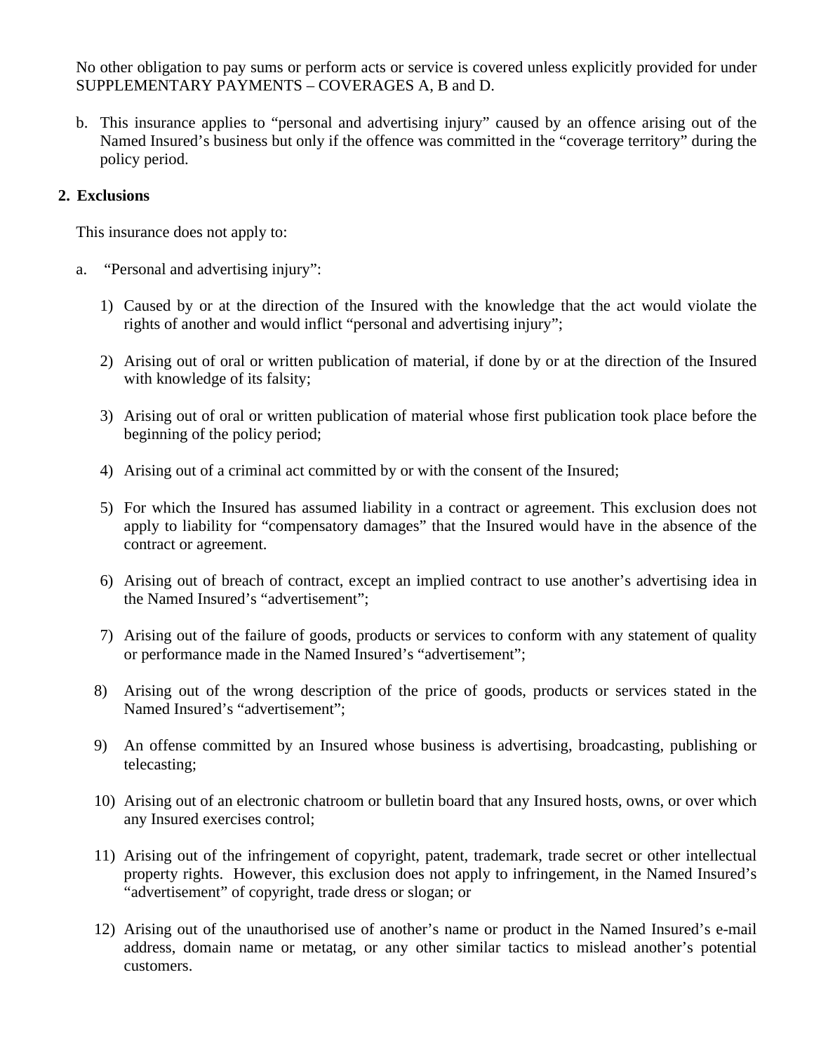No other obligation to pay sums or perform acts or service is covered unless explicitly provided for under SUPPLEMENTARY PAYMENTS – COVERAGES A, B and D.

b. This insurance applies to "personal and advertising injury" caused by an offence arising out of the Named Insured's business but only if the offence was committed in the "coverage territory" during the policy period.

# **2. Exclusions**

This insurance does not apply to:

- a. "Personal and advertising injury":
	- 1) Caused by or at the direction of the Insured with the knowledge that the act would violate the rights of another and would inflict "personal and advertising injury";
	- 2) Arising out of oral or written publication of material, if done by or at the direction of the Insured with knowledge of its falsity;
	- 3) Arising out of oral or written publication of material whose first publication took place before the beginning of the policy period;
	- 4) Arising out of a criminal act committed by or with the consent of the Insured;
	- 5) For which the Insured has assumed liability in a contract or agreement. This exclusion does not apply to liability for "compensatory damages" that the Insured would have in the absence of the contract or agreement.
	- 6) Arising out of breach of contract, except an implied contract to use another's advertising idea in the Named Insured's "advertisement";
	- 7) Arising out of the failure of goods, products or services to conform with any statement of quality or performance made in the Named Insured's "advertisement";
	- 8) Arising out of the wrong description of the price of goods, products or services stated in the Named Insured's "advertisement";
	- 9) An offense committed by an Insured whose business is advertising, broadcasting, publishing or telecasting;
	- 10) Arising out of an electronic chatroom or bulletin board that any Insured hosts, owns, or over which any Insured exercises control;
	- 11) Arising out of the infringement of copyright, patent, trademark, trade secret or other intellectual property rights. However, this exclusion does not apply to infringement, in the Named Insured's "advertisement" of copyright, trade dress or slogan; or
	- 12) Arising out of the unauthorised use of another's name or product in the Named Insured's e-mail address, domain name or metatag, or any other similar tactics to mislead another's potential customers.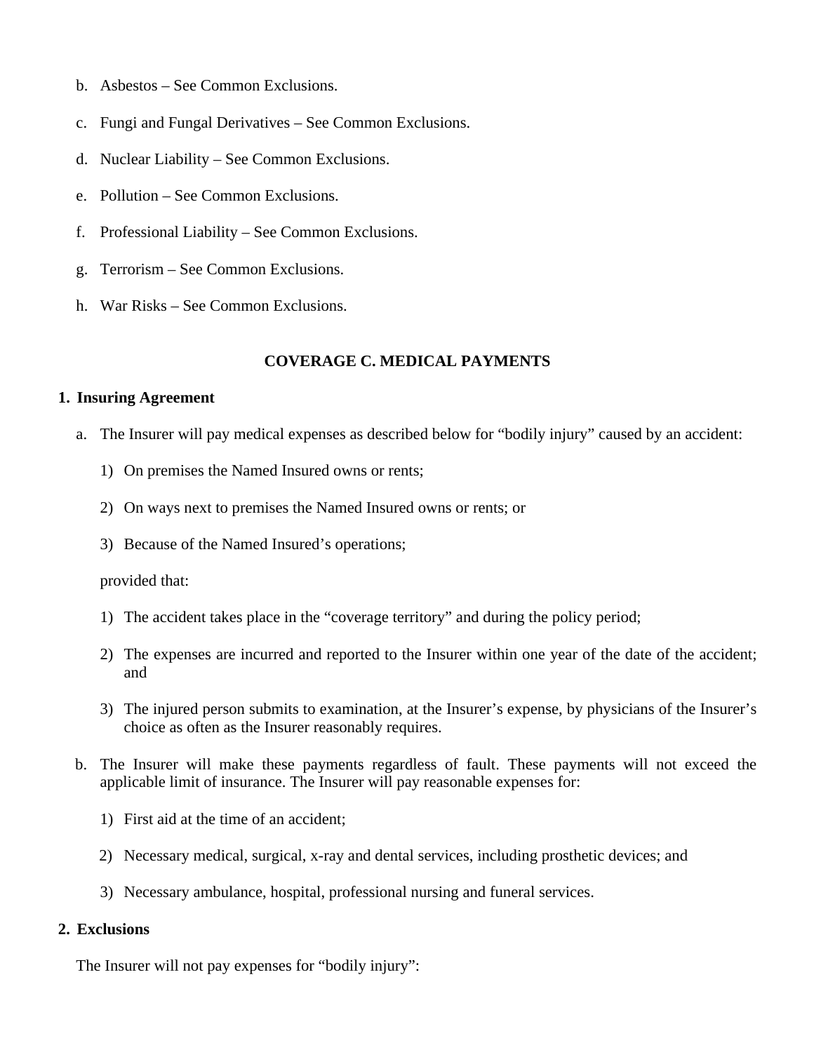- b. Asbestos See Common Exclusions.
- c. Fungi and Fungal Derivatives See Common Exclusions.
- d. Nuclear Liability See Common Exclusions.
- e. Pollution See Common Exclusions.
- f. Professional Liability See Common Exclusions.
- g. Terrorism See Common Exclusions.
- h. War Risks See Common Exclusions.

## **COVERAGE C. MEDICAL PAYMENTS**

### **1. Insuring Agreement**

- a. The Insurer will pay medical expenses as described below for "bodily injury" caused by an accident:
	- 1) On premises the Named Insured owns or rents;
	- 2) On ways next to premises the Named Insured owns or rents; or
	- 3) Because of the Named Insured's operations;

provided that:

- 1) The accident takes place in the "coverage territory" and during the policy period;
- 2) The expenses are incurred and reported to the Insurer within one year of the date of the accident; and
- 3) The injured person submits to examination, at the Insurer's expense, by physicians of the Insurer's choice as often as the Insurer reasonably requires.
- b. The Insurer will make these payments regardless of fault. These payments will not exceed the applicable limit of insurance. The Insurer will pay reasonable expenses for:
	- 1) First aid at the time of an accident;
	- 2) Necessary medical, surgical, x-ray and dental services, including prosthetic devices; and
	- 3) Necessary ambulance, hospital, professional nursing and funeral services.

### **2. Exclusions**

The Insurer will not pay expenses for "bodily injury":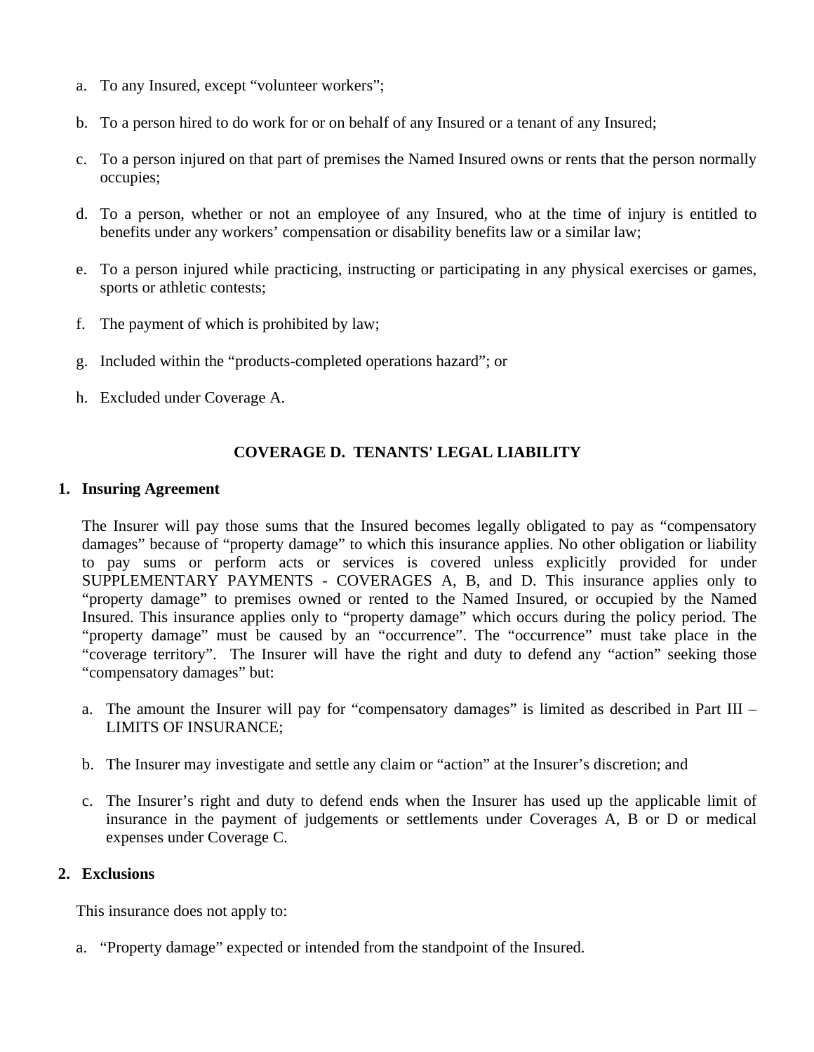- a. To any Insured, except "volunteer workers";
- b. To a person hired to do work for or on behalf of any Insured or a tenant of any Insured;
- c. To a person injured on that part of premises the Named Insured owns or rents that the person normally occupies;
- d. To a person, whether or not an employee of any Insured, who at the time of injury is entitled to benefits under any workers' compensation or disability benefits law or a similar law;
- e. To a person injured while practicing, instructing or participating in any physical exercises or games, sports or athletic contests;
- f. The payment of which is prohibited by law;
- g. Included within the "products-completed operations hazard"; or
- h. Excluded under Coverage A.

# **COVERAGE D. TENANTS' LEGAL LIABILITY**

### **1. Insuring Agreement**

The Insurer will pay those sums that the Insured becomes legally obligated to pay as "compensatory damages" because of "property damage" to which this insurance applies. No other obligation or liability to pay sums or perform acts or services is covered unless explicitly provided for under SUPPLEMENTARY PAYMENTS - COVERAGES A, B, and D. This insurance applies only to "property damage" to premises owned or rented to the Named Insured, or occupied by the Named Insured. This insurance applies only to "property damage" which occurs during the policy period. The "property damage" must be caused by an "occurrence". The "occurrence" must take place in the "coverage territory". The Insurer will have the right and duty to defend any "action" seeking those "compensatory damages" but:

- a. The amount the Insurer will pay for "compensatory damages" is limited as described in Part III LIMITS OF INSURANCE;
- b. The Insurer may investigate and settle any claim or "action" at the Insurer's discretion; and
- c. The Insurer's right and duty to defend ends when the Insurer has used up the applicable limit of insurance in the payment of judgements or settlements under Coverages A, B or D or medical expenses under Coverage C.

### **2. Exclusions**

This insurance does not apply to:

a. "Property damage" expected or intended from the standpoint of the Insured.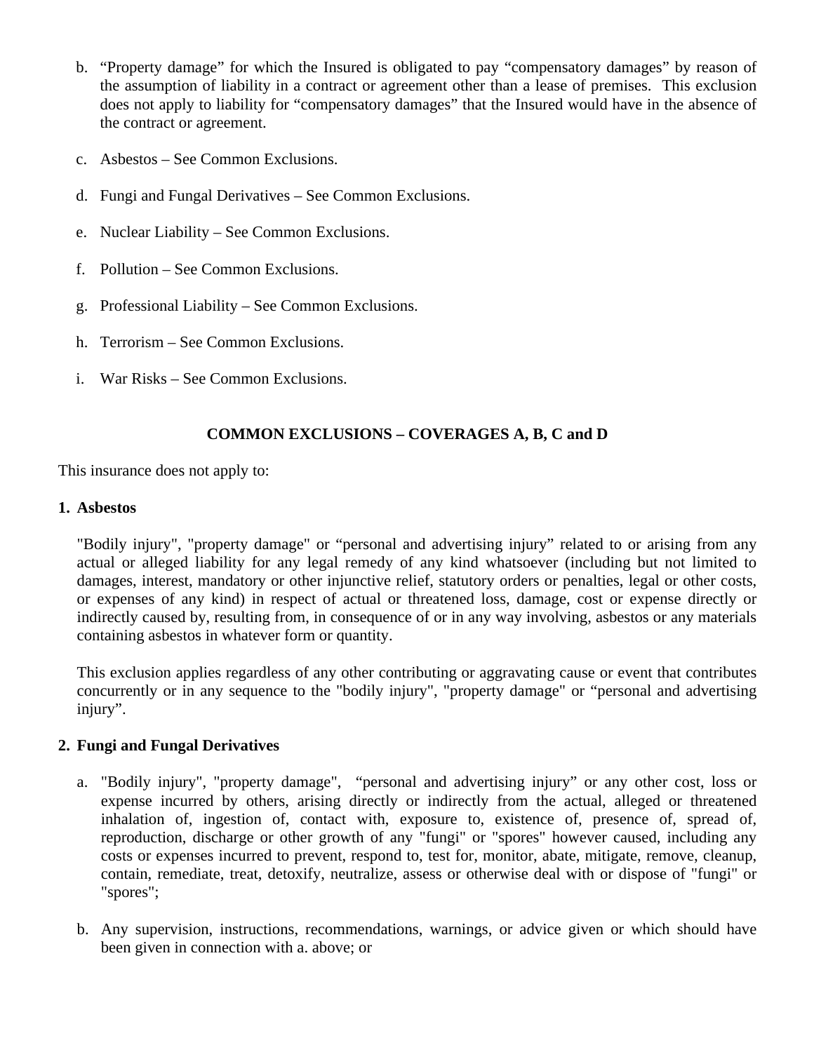- b. "Property damage" for which the Insured is obligated to pay "compensatory damages" by reason of the assumption of liability in a contract or agreement other than a lease of premises. This exclusion does not apply to liability for "compensatory damages" that the Insured would have in the absence of the contract or agreement.
- c. Asbestos See Common Exclusions.
- d. Fungi and Fungal Derivatives See Common Exclusions.
- e. Nuclear Liability See Common Exclusions.
- f. Pollution See Common Exclusions.
- g. Professional Liability See Common Exclusions.
- h. Terrorism See Common Exclusions.
- i. War Risks See Common Exclusions.

# **COMMON EXCLUSIONS – COVERAGES A, B, C and D**

This insurance does not apply to:

### **1. Asbestos**

"Bodily injury", "property damage" or "personal and advertising injury" related to or arising from any actual or alleged liability for any legal remedy of any kind whatsoever (including but not limited to damages, interest, mandatory or other injunctive relief, statutory orders or penalties, legal or other costs, or expenses of any kind) in respect of actual or threatened loss, damage, cost or expense directly or indirectly caused by, resulting from, in consequence of or in any way involving, asbestos or any materials containing asbestos in whatever form or quantity.

This exclusion applies regardless of any other contributing or aggravating cause or event that contributes concurrently or in any sequence to the "bodily injury", "property damage" or "personal and advertising injury".

### **2. Fungi and Fungal Derivatives**

- a. "Bodily injury", "property damage", "personal and advertising injury" or any other cost, loss or expense incurred by others, arising directly or indirectly from the actual, alleged or threatened inhalation of, ingestion of, contact with, exposure to, existence of, presence of, spread of, reproduction, discharge or other growth of any "fungi" or "spores" however caused, including any costs or expenses incurred to prevent, respond to, test for, monitor, abate, mitigate, remove, cleanup, contain, remediate, treat, detoxify, neutralize, assess or otherwise deal with or dispose of "fungi" or "spores";
- b. Any supervision, instructions, recommendations, warnings, or advice given or which should have been given in connection with a. above; or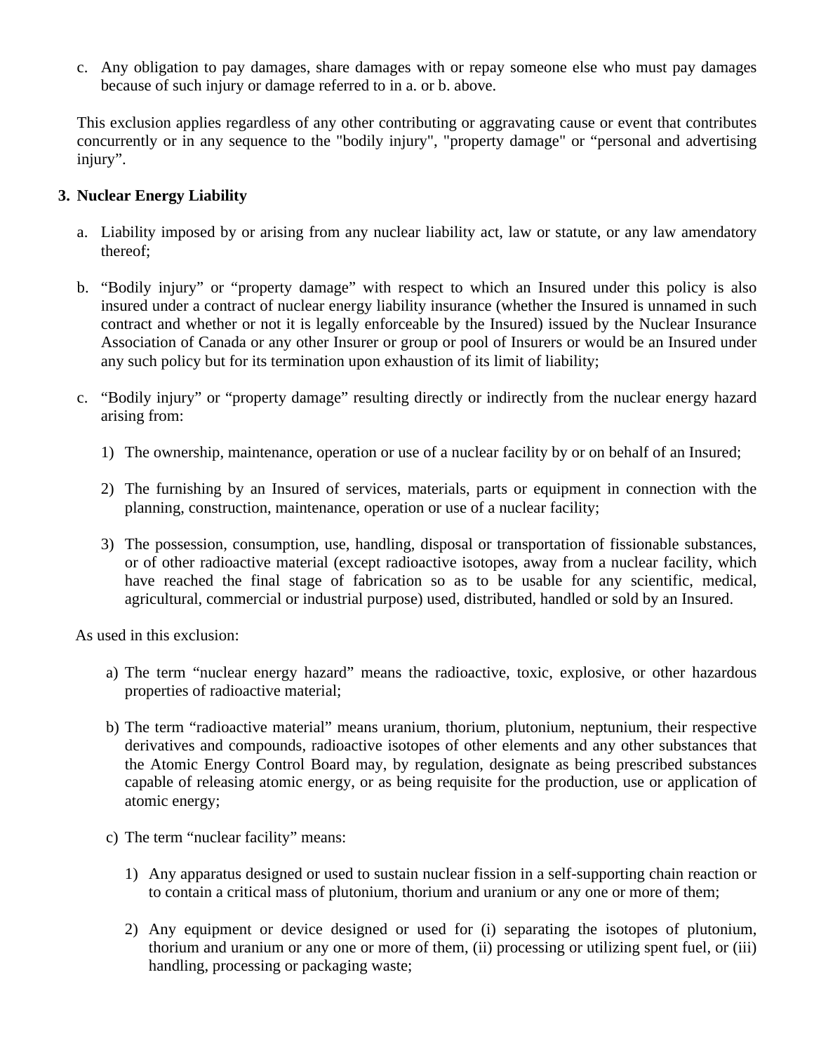c. Any obligation to pay damages, share damages with or repay someone else who must pay damages because of such injury or damage referred to in a. or b. above.

This exclusion applies regardless of any other contributing or aggravating cause or event that contributes concurrently or in any sequence to the "bodily injury", "property damage" or "personal and advertising injury".

## **3. Nuclear Energy Liability**

- a. Liability imposed by or arising from any nuclear liability act, law or statute, or any law amendatory thereof;
- b. "Bodily injury" or "property damage" with respect to which an Insured under this policy is also insured under a contract of nuclear energy liability insurance (whether the Insured is unnamed in such contract and whether or not it is legally enforceable by the Insured) issued by the Nuclear Insurance Association of Canada or any other Insurer or group or pool of Insurers or would be an Insured under any such policy but for its termination upon exhaustion of its limit of liability;
- c. "Bodily injury" or "property damage" resulting directly or indirectly from the nuclear energy hazard arising from:
	- 1) The ownership, maintenance, operation or use of a nuclear facility by or on behalf of an Insured;
	- 2) The furnishing by an Insured of services, materials, parts or equipment in connection with the planning, construction, maintenance, operation or use of a nuclear facility;
	- 3) The possession, consumption, use, handling, disposal or transportation of fissionable substances, or of other radioactive material (except radioactive isotopes, away from a nuclear facility, which have reached the final stage of fabrication so as to be usable for any scientific, medical, agricultural, commercial or industrial purpose) used, distributed, handled or sold by an Insured.

As used in this exclusion:

- a) The term "nuclear energy hazard" means the radioactive, toxic, explosive, or other hazardous properties of radioactive material;
- b) The term "radioactive material" means uranium, thorium, plutonium, neptunium, their respective derivatives and compounds, radioactive isotopes of other elements and any other substances that the Atomic Energy Control Board may, by regulation, designate as being prescribed substances capable of releasing atomic energy, or as being requisite for the production, use or application of atomic energy;
- c) The term "nuclear facility" means:
	- 1) Any apparatus designed or used to sustain nuclear fission in a self-supporting chain reaction or to contain a critical mass of plutonium, thorium and uranium or any one or more of them;
	- 2) Any equipment or device designed or used for (i) separating the isotopes of plutonium, thorium and uranium or any one or more of them, (ii) processing or utilizing spent fuel, or (iii) handling, processing or packaging waste;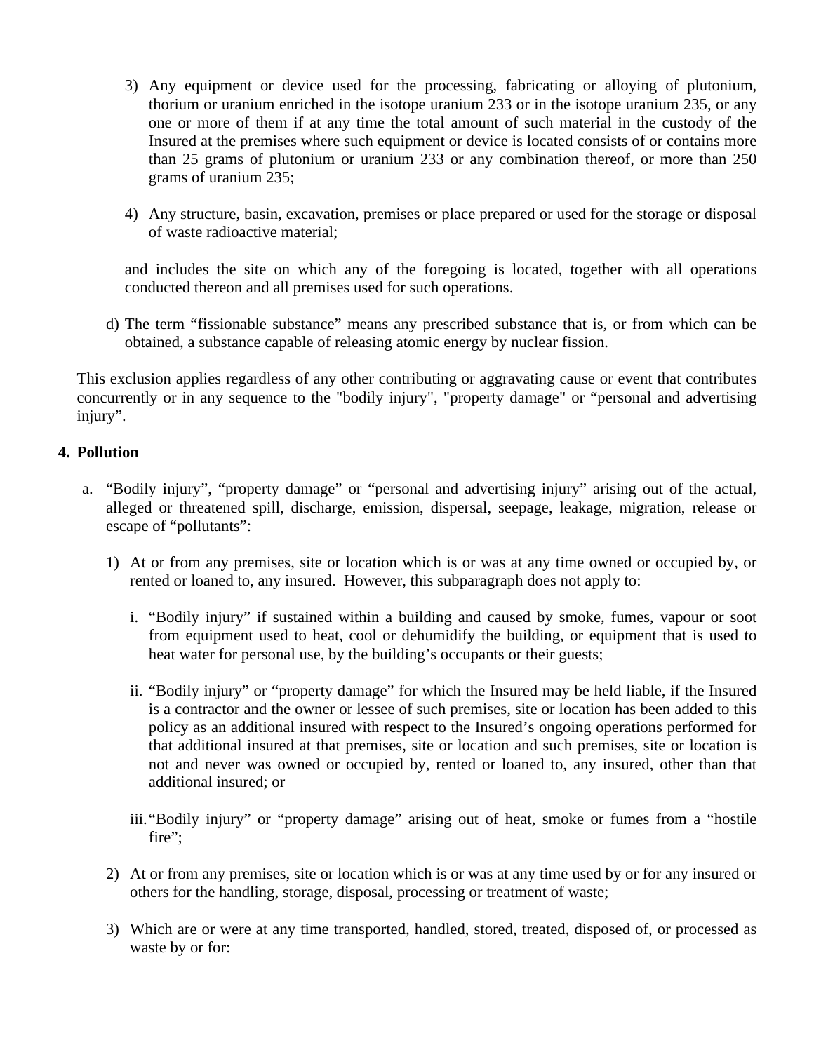- 3) Any equipment or device used for the processing, fabricating or alloying of plutonium, thorium or uranium enriched in the isotope uranium 233 or in the isotope uranium 235, or any one or more of them if at any time the total amount of such material in the custody of the Insured at the premises where such equipment or device is located consists of or contains more than 25 grams of plutonium or uranium 233 or any combination thereof, or more than 250 grams of uranium 235;
- 4) Any structure, basin, excavation, premises or place prepared or used for the storage or disposal of waste radioactive material;

and includes the site on which any of the foregoing is located, together with all operations conducted thereon and all premises used for such operations.

d) The term "fissionable substance" means any prescribed substance that is, or from which can be obtained, a substance capable of releasing atomic energy by nuclear fission.

This exclusion applies regardless of any other contributing or aggravating cause or event that contributes concurrently or in any sequence to the "bodily injury", "property damage" or "personal and advertising injury".

# **4. Pollution**

- a. "Bodily injury", "property damage" or "personal and advertising injury" arising out of the actual, alleged or threatened spill, discharge, emission, dispersal, seepage, leakage, migration, release or escape of "pollutants":
	- 1) At or from any premises, site or location which is or was at any time owned or occupied by, or rented or loaned to, any insured. However, this subparagraph does not apply to:
		- i. "Bodily injury" if sustained within a building and caused by smoke, fumes, vapour or soot from equipment used to heat, cool or dehumidify the building, or equipment that is used to heat water for personal use, by the building's occupants or their guests;
		- ii. "Bodily injury" or "property damage" for which the Insured may be held liable, if the Insured is a contractor and the owner or lessee of such premises, site or location has been added to this policy as an additional insured with respect to the Insured's ongoing operations performed for that additional insured at that premises, site or location and such premises, site or location is not and never was owned or occupied by, rented or loaned to, any insured, other than that additional insured; or
		- iii."Bodily injury" or "property damage" arising out of heat, smoke or fumes from a "hostile fire";
	- 2) At or from any premises, site or location which is or was at any time used by or for any insured or others for the handling, storage, disposal, processing or treatment of waste;
	- 3) Which are or were at any time transported, handled, stored, treated, disposed of, or processed as waste by or for: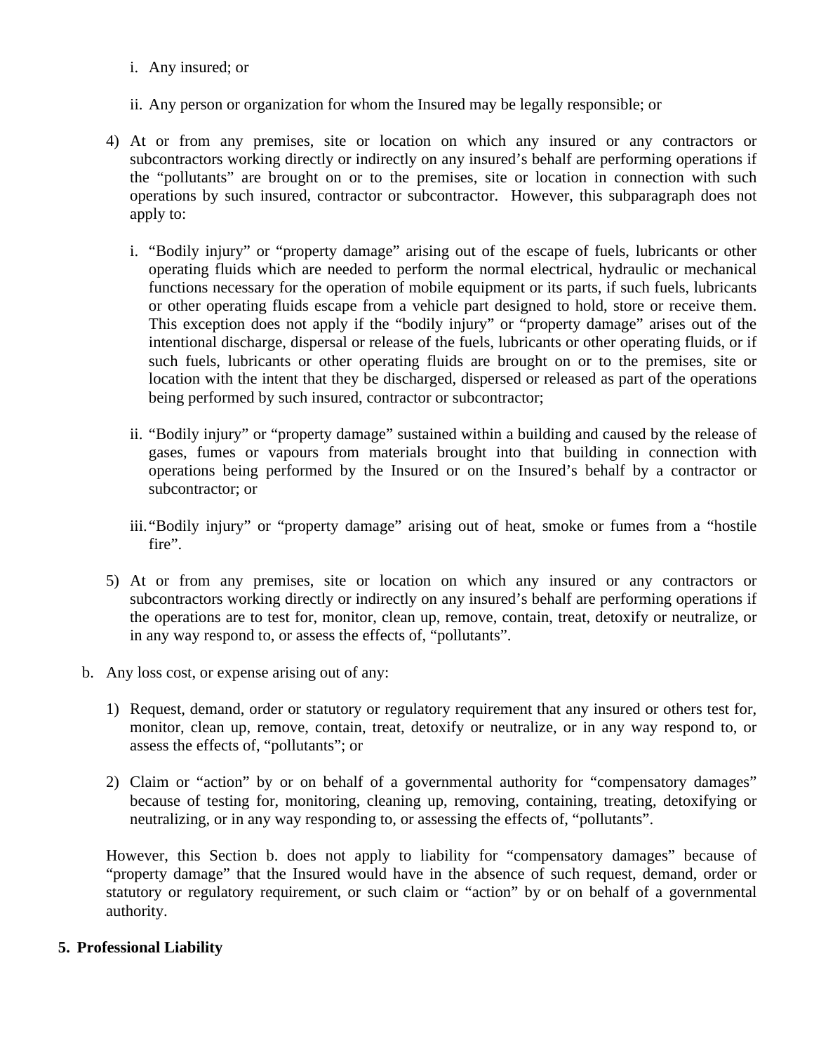- i. Any insured; or
- ii. Any person or organization for whom the Insured may be legally responsible; or
- 4) At or from any premises, site or location on which any insured or any contractors or subcontractors working directly or indirectly on any insured's behalf are performing operations if the "pollutants" are brought on or to the premises, site or location in connection with such operations by such insured, contractor or subcontractor. However, this subparagraph does not apply to:
	- i. "Bodily injury" or "property damage" arising out of the escape of fuels, lubricants or other operating fluids which are needed to perform the normal electrical, hydraulic or mechanical functions necessary for the operation of mobile equipment or its parts, if such fuels, lubricants or other operating fluids escape from a vehicle part designed to hold, store or receive them. This exception does not apply if the "bodily injury" or "property damage" arises out of the intentional discharge, dispersal or release of the fuels, lubricants or other operating fluids, or if such fuels, lubricants or other operating fluids are brought on or to the premises, site or location with the intent that they be discharged, dispersed or released as part of the operations being performed by such insured, contractor or subcontractor;
	- ii. "Bodily injury" or "property damage" sustained within a building and caused by the release of gases, fumes or vapours from materials brought into that building in connection with operations being performed by the Insured or on the Insured's behalf by a contractor or subcontractor; or
	- iii."Bodily injury" or "property damage" arising out of heat, smoke or fumes from a "hostile fire".
- 5) At or from any premises, site or location on which any insured or any contractors or subcontractors working directly or indirectly on any insured's behalf are performing operations if the operations are to test for, monitor, clean up, remove, contain, treat, detoxify or neutralize, or in any way respond to, or assess the effects of, "pollutants".
- b. Any loss cost, or expense arising out of any:
	- 1) Request, demand, order or statutory or regulatory requirement that any insured or others test for, monitor, clean up, remove, contain, treat, detoxify or neutralize, or in any way respond to, or assess the effects of, "pollutants"; or
	- 2) Claim or "action" by or on behalf of a governmental authority for "compensatory damages" because of testing for, monitoring, cleaning up, removing, containing, treating, detoxifying or neutralizing, or in any way responding to, or assessing the effects of, "pollutants".

However, this Section b. does not apply to liability for "compensatory damages" because of "property damage" that the Insured would have in the absence of such request, demand, order or statutory or regulatory requirement, or such claim or "action" by or on behalf of a governmental authority.

### **5. Professional Liability**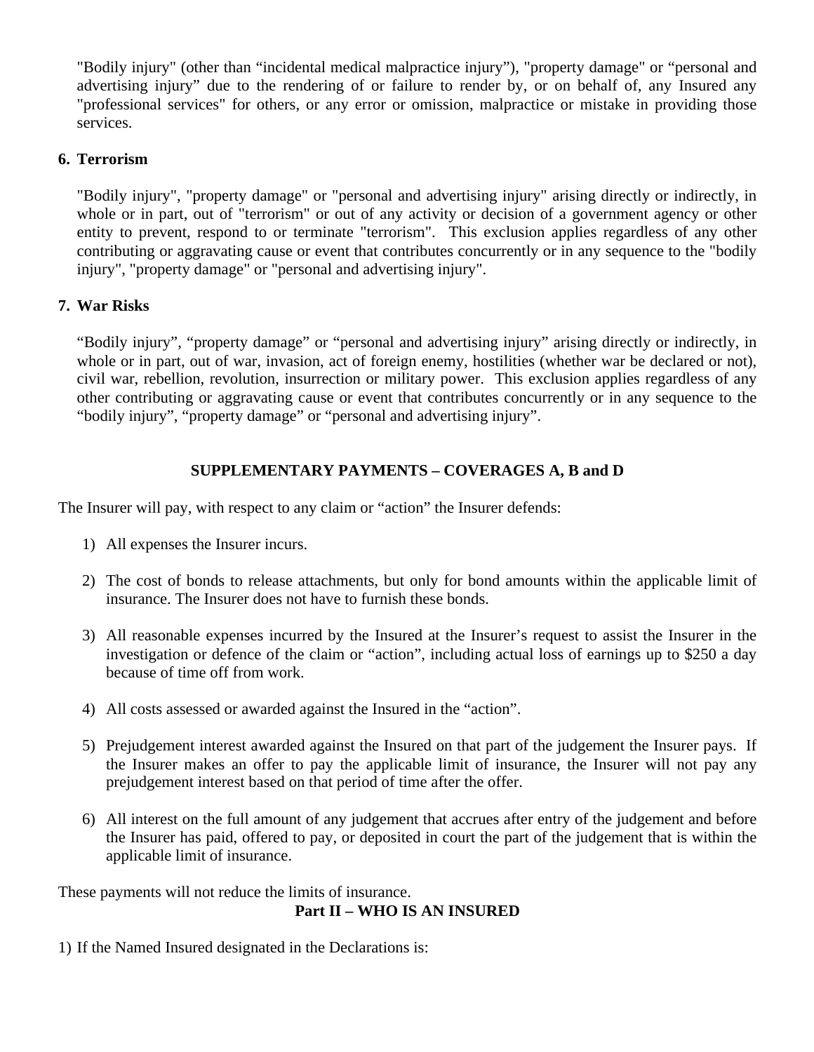"Bodily injury" (other than "incidental medical malpractice injury"), "property damage" or "personal and advertising injury" due to the rendering of or failure to render by, or on behalf of, any Insured any "professional services" for others, or any error or omission, malpractice or mistake in providing those services.

## **6. Terrorism**

"Bodily injury", "property damage" or "personal and advertising injury" arising directly or indirectly, in whole or in part, out of "terrorism" or out of any activity or decision of a government agency or other entity to prevent, respond to or terminate "terrorism". This exclusion applies regardless of any other contributing or aggravating cause or event that contributes concurrently or in any sequence to the "bodily injury", "property damage" or "personal and advertising injury".

# **7. War Risks**

"Bodily injury", "property damage" or "personal and advertising injury" arising directly or indirectly, in whole or in part, out of war, invasion, act of foreign enemy, hostilities (whether war be declared or not), civil war, rebellion, revolution, insurrection or military power. This exclusion applies regardless of any other contributing or aggravating cause or event that contributes concurrently or in any sequence to the "bodily injury", "property damage" or "personal and advertising injury".

# **SUPPLEMENTARY PAYMENTS – COVERAGES A, B and D**

The Insurer will pay, with respect to any claim or "action" the Insurer defends:

- 1) All expenses the Insurer incurs.
- 2) The cost of bonds to release attachments, but only for bond amounts within the applicable limit of insurance. The Insurer does not have to furnish these bonds.
- 3) All reasonable expenses incurred by the Insured at the Insurer's request to assist the Insurer in the investigation or defence of the claim or "action", including actual loss of earnings up to \$250 a day because of time off from work.
- 4) All costs assessed or awarded against the Insured in the "action".
- 5) Prejudgement interest awarded against the Insured on that part of the judgement the Insurer pays. If the Insurer makes an offer to pay the applicable limit of insurance, the Insurer will not pay any prejudgement interest based on that period of time after the offer.
- 6) All interest on the full amount of any judgement that accrues after entry of the judgement and before the Insurer has paid, offered to pay, or deposited in court the part of the judgement that is within the applicable limit of insurance.

These payments will not reduce the limits of insurance.

# **Part II – WHO IS AN INSURED**

1) If the Named Insured designated in the Declarations is: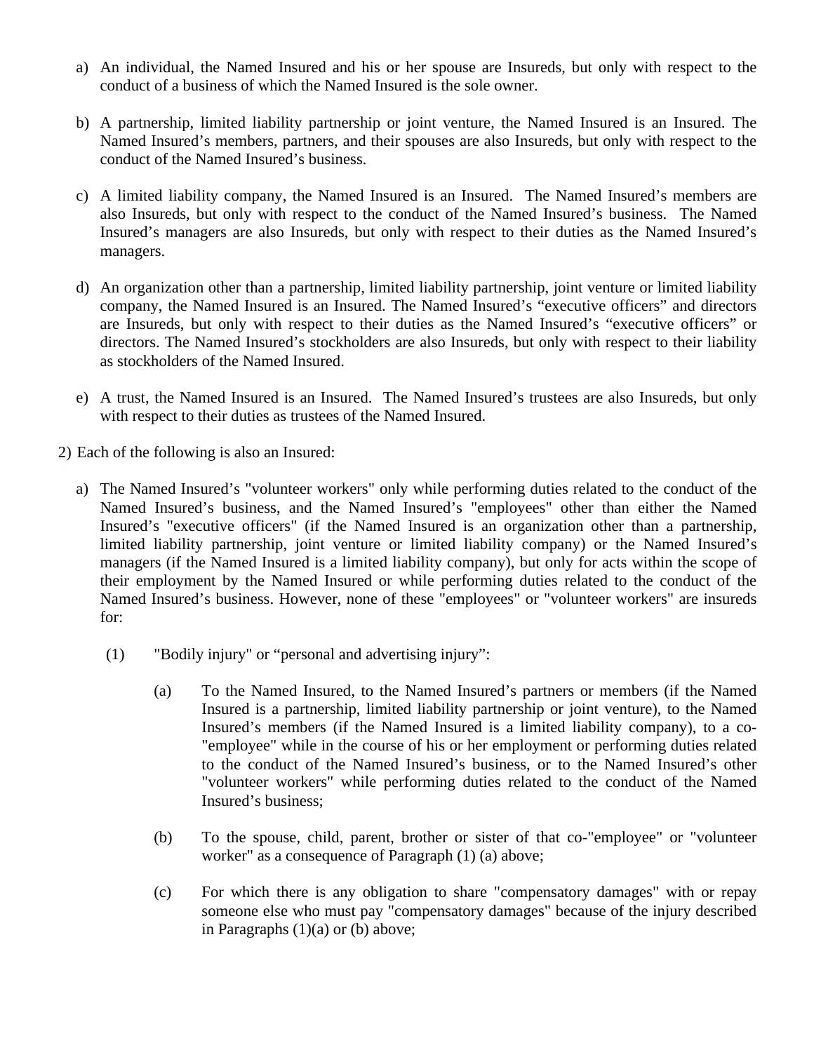- a) An individual, the Named Insured and his or her spouse are Insureds, but only with respect to the conduct of a business of which the Named Insured is the sole owner.
- b) A partnership, limited liability partnership or joint venture, the Named Insured is an Insured. The Named Insured's members, partners, and their spouses are also Insureds, but only with respect to the conduct of the Named Insured's business.
- c) A limited liability company, the Named Insured is an Insured. The Named Insured's members are also Insureds, but only with respect to the conduct of the Named Insured's business. The Named Insured's managers are also Insureds, but only with respect to their duties as the Named Insured's managers.
- d) An organization other than a partnership, limited liability partnership, joint venture or limited liability company, the Named Insured is an Insured. The Named Insured's "executive officers" and directors are Insureds, but only with respect to their duties as the Named Insured's "executive officers" or directors. The Named Insured's stockholders are also Insureds, but only with respect to their liability as stockholders of the Named Insured.
- e) A trust, the Named Insured is an Insured. The Named Insured's trustees are also Insureds, but only with respect to their duties as trustees of the Named Insured.
- 2) Each of the following is also an Insured:
	- a) The Named Insured's "volunteer workers" only while performing duties related to the conduct of the Named Insured's business, and the Named Insured's "employees" other than either the Named Insured's "executive officers" (if the Named Insured is an organization other than a partnership, limited liability partnership, joint venture or limited liability company) or the Named Insured's managers (if the Named Insured is a limited liability company), but only for acts within the scope of their employment by the Named Insured or while performing duties related to the conduct of the Named Insured's business. However, none of these "employees" or "volunteer workers" are insureds for:
		- (1) "Bodily injury" or "personal and advertising injury":
			- (a) To the Named Insured, to the Named Insured's partners or members (if the Named Insured is a partnership, limited liability partnership or joint venture), to the Named Insured's members (if the Named Insured is a limited liability company), to a co- "employee" while in the course of his or her employment or performing duties related to the conduct of the Named Insured's business, or to the Named Insured's other "volunteer workers" while performing duties related to the conduct of the Named Insured's business;
			- (b) To the spouse, child, parent, brother or sister of that co-"employee" or "volunteer worker" as a consequence of Paragraph (1) (a) above;
			- (c) For which there is any obligation to share "compensatory damages" with or repay someone else who must pay "compensatory damages" because of the injury described in Paragraphs  $(1)(a)$  or  $(b)$  above;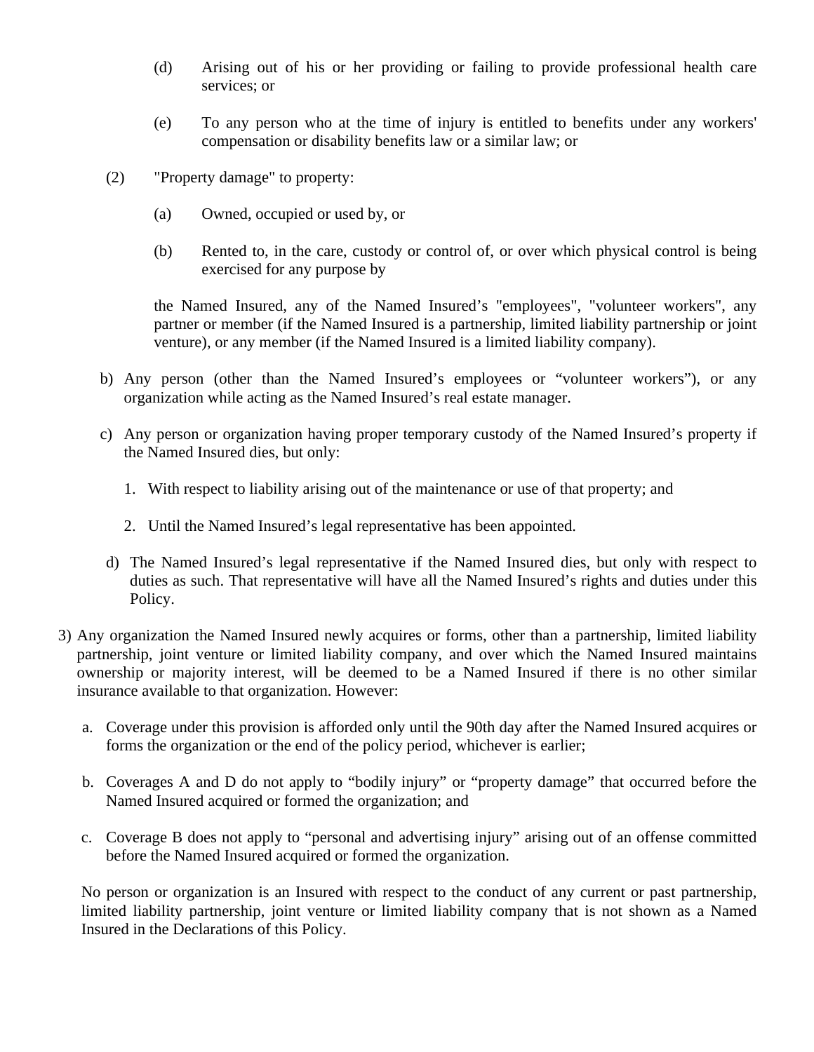- (d) Arising out of his or her providing or failing to provide professional health care services; or
- (e) To any person who at the time of injury is entitled to benefits under any workers' compensation or disability benefits law or a similar law; or
- (2) "Property damage" to property:
	- (a) Owned, occupied or used by, or
	- (b) Rented to, in the care, custody or control of, or over which physical control is being exercised for any purpose by

the Named Insured, any of the Named Insured's "employees", "volunteer workers", any partner or member (if the Named Insured is a partnership, limited liability partnership or joint venture), or any member (if the Named Insured is a limited liability company).

- b) Any person (other than the Named Insured's employees or "volunteer workers"), or any organization while acting as the Named Insured's real estate manager.
- c) Any person or organization having proper temporary custody of the Named Insured's property if the Named Insured dies, but only:
	- 1. With respect to liability arising out of the maintenance or use of that property; and
	- 2. Until the Named Insured's legal representative has been appointed.
- d) The Named Insured's legal representative if the Named Insured dies, but only with respect to duties as such. That representative will have all the Named Insured's rights and duties under this Policy.
- 3) Any organization the Named Insured newly acquires or forms, other than a partnership, limited liability partnership, joint venture or limited liability company, and over which the Named Insured maintains ownership or majority interest, will be deemed to be a Named Insured if there is no other similar insurance available to that organization. However:
	- a. Coverage under this provision is afforded only until the 90th day after the Named Insured acquires or forms the organization or the end of the policy period, whichever is earlier;
	- b. Coverages A and D do not apply to "bodily injury" or "property damage" that occurred before the Named Insured acquired or formed the organization; and
	- c. Coverage B does not apply to "personal and advertising injury" arising out of an offense committed before the Named Insured acquired or formed the organization.

No person or organization is an Insured with respect to the conduct of any current or past partnership, limited liability partnership, joint venture or limited liability company that is not shown as a Named Insured in the Declarations of this Policy.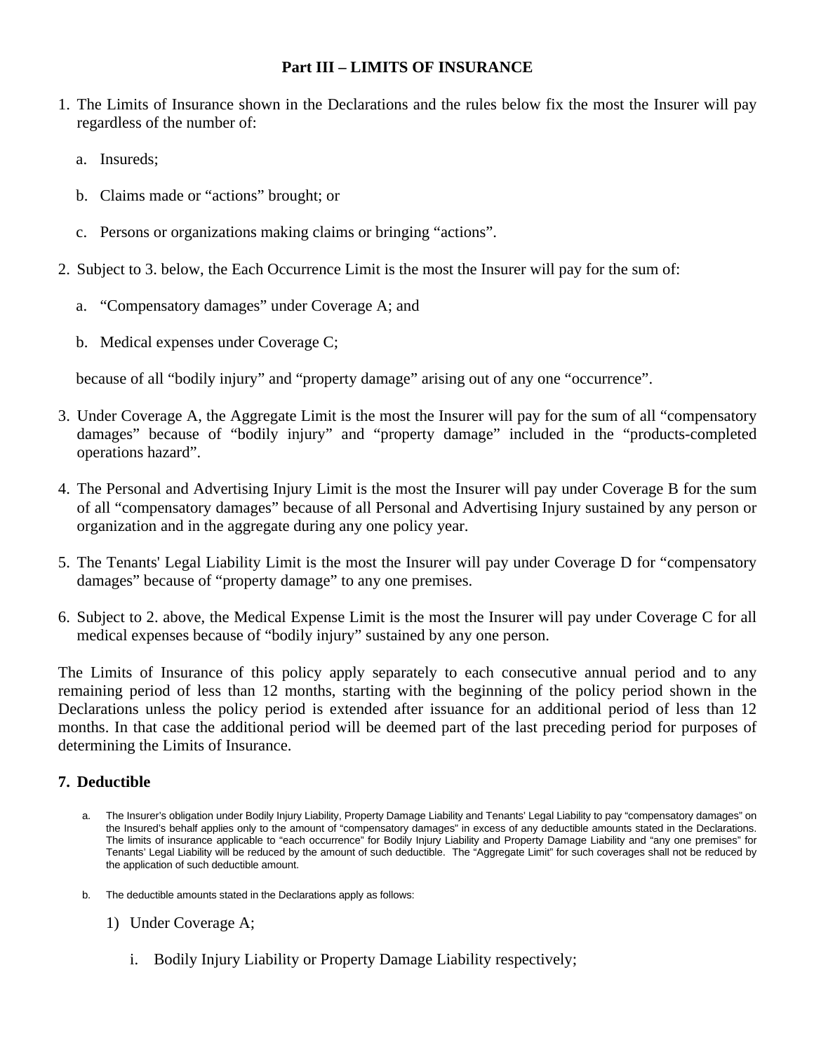## **Part III – LIMITS OF INSURANCE**

- 1. The Limits of Insurance shown in the Declarations and the rules below fix the most the Insurer will pay regardless of the number of:
	- a. Insureds;
	- b. Claims made or "actions" brought; or
	- c. Persons or organizations making claims or bringing "actions".
- 2. Subject to 3. below, the Each Occurrence Limit is the most the Insurer will pay for the sum of:
	- a. "Compensatory damages" under Coverage A; and
	- b. Medical expenses under Coverage C;

because of all "bodily injury" and "property damage" arising out of any one "occurrence".

- 3. Under Coverage A, the Aggregate Limit is the most the Insurer will pay for the sum of all "compensatory damages" because of "bodily injury" and "property damage" included in the "products-completed operations hazard".
- 4. The Personal and Advertising Injury Limit is the most the Insurer will pay under Coverage B for the sum of all "compensatory damages" because of all Personal and Advertising Injury sustained by any person or organization and in the aggregate during any one policy year.
- 5. The Tenants' Legal Liability Limit is the most the Insurer will pay under Coverage D for "compensatory damages" because of "property damage" to any one premises.
- 6. Subject to 2. above, the Medical Expense Limit is the most the Insurer will pay under Coverage C for all medical expenses because of "bodily injury" sustained by any one person.

The Limits of Insurance of this policy apply separately to each consecutive annual period and to any remaining period of less than 12 months, starting with the beginning of the policy period shown in the Declarations unless the policy period is extended after issuance for an additional period of less than 12 months. In that case the additional period will be deemed part of the last preceding period for purposes of determining the Limits of Insurance.

# **7. Deductible**

- a. The Insurer's obligation under Bodily Injury Liability, Property Damage Liability and Tenants' Legal Liability to pay "compensatory damages" on the Insured's behalf applies only to the amount of "compensatory damages" in excess of any deductible amounts stated in the Declarations. The limits of insurance applicable to "each occurrence" for Bodily Injury Liability and Property Damage Liability and "any one premises" for Tenants' Legal Liability will be reduced by the amount of such deductible. The "Aggregate Limit" for such coverages shall not be reduced by the application of such deductible amount.
- b. The deductible amounts stated in the Declarations apply as follows:
	- 1) Under Coverage A;
		- i. Bodily Injury Liability or Property Damage Liability respectively;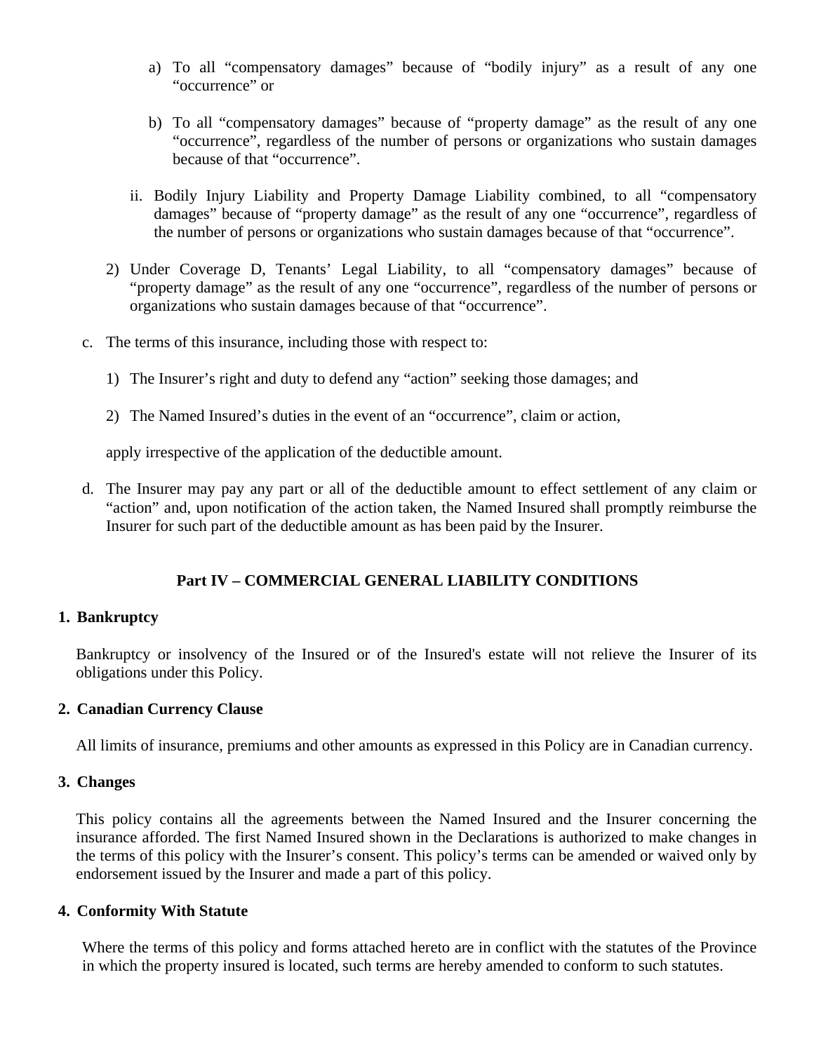- a) To all "compensatory damages" because of "bodily injury" as a result of any one "occurrence" or
- b) To all "compensatory damages" because of "property damage" as the result of any one "occurrence", regardless of the number of persons or organizations who sustain damages because of that "occurrence".
- ii. Bodily Injury Liability and Property Damage Liability combined, to all "compensatory damages" because of "property damage" as the result of any one "occurrence", regardless of the number of persons or organizations who sustain damages because of that "occurrence".
- 2) Under Coverage D, Tenants' Legal Liability, to all "compensatory damages" because of "property damage" as the result of any one "occurrence", regardless of the number of persons or organizations who sustain damages because of that "occurrence".
- c. The terms of this insurance, including those with respect to:
	- 1) The Insurer's right and duty to defend any "action" seeking those damages; and
	- 2) The Named Insured's duties in the event of an "occurrence", claim or action,

apply irrespective of the application of the deductible amount.

d. The Insurer may pay any part or all of the deductible amount to effect settlement of any claim or "action" and, upon notification of the action taken, the Named Insured shall promptly reimburse the Insurer for such part of the deductible amount as has been paid by the Insurer.

# **Part IV – COMMERCIAL GENERAL LIABILITY CONDITIONS**

# **1. Bankruptcy**

Bankruptcy or insolvency of the Insured or of the Insured's estate will not relieve the Insurer of its obligations under this Policy.

### **2. Canadian Currency Clause**

All limits of insurance, premiums and other amounts as expressed in this Policy are in Canadian currency.

# **3. Changes**

This policy contains all the agreements between the Named Insured and the Insurer concerning the insurance afforded. The first Named Insured shown in the Declarations is authorized to make changes in the terms of this policy with the Insurer's consent. This policy's terms can be amended or waived only by endorsement issued by the Insurer and made a part of this policy.

### **4. Conformity With Statute**

Where the terms of this policy and forms attached hereto are in conflict with the statutes of the Province in which the property insured is located, such terms are hereby amended to conform to such statutes.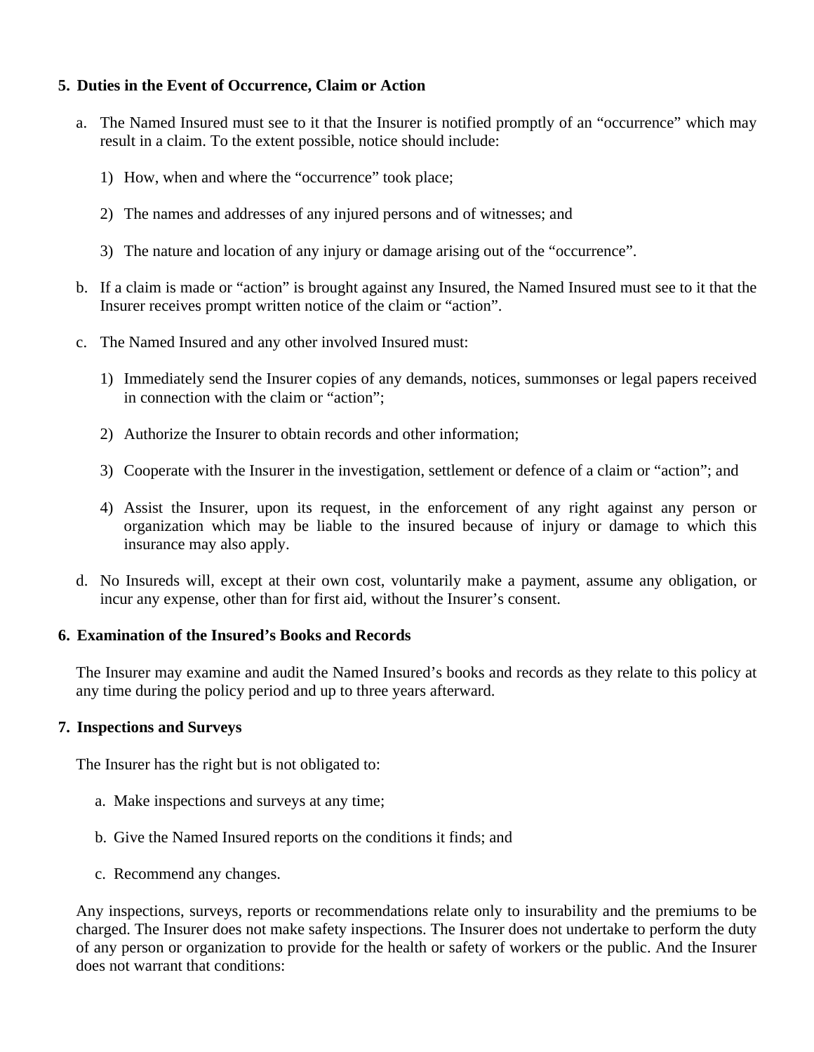## **5. Duties in the Event of Occurrence, Claim or Action**

- a. The Named Insured must see to it that the Insurer is notified promptly of an "occurrence" which may result in a claim. To the extent possible, notice should include:
	- 1) How, when and where the "occurrence" took place;
	- 2) The names and addresses of any injured persons and of witnesses; and
	- 3) The nature and location of any injury or damage arising out of the "occurrence".
- b. If a claim is made or "action" is brought against any Insured, the Named Insured must see to it that the Insurer receives prompt written notice of the claim or "action".
- c. The Named Insured and any other involved Insured must:
	- 1) Immediately send the Insurer copies of any demands, notices, summonses or legal papers received in connection with the claim or "action";
	- 2) Authorize the Insurer to obtain records and other information;
	- 3) Cooperate with the Insurer in the investigation, settlement or defence of a claim or "action"; and
	- 4) Assist the Insurer, upon its request, in the enforcement of any right against any person or organization which may be liable to the insured because of injury or damage to which this insurance may also apply.
- d. No Insureds will, except at their own cost, voluntarily make a payment, assume any obligation, or incur any expense, other than for first aid, without the Insurer's consent.

## **6. Examination of the Insured's Books and Records**

The Insurer may examine and audit the Named Insured's books and records as they relate to this policy at any time during the policy period and up to three years afterward.

### **7. Inspections and Surveys**

The Insurer has the right but is not obligated to:

- a. Make inspections and surveys at any time;
- b. Give the Named Insured reports on the conditions it finds; and
- c. Recommend any changes.

Any inspections, surveys, reports or recommendations relate only to insurability and the premiums to be charged. The Insurer does not make safety inspections. The Insurer does not undertake to perform the duty of any person or organization to provide for the health or safety of workers or the public. And the Insurer does not warrant that conditions: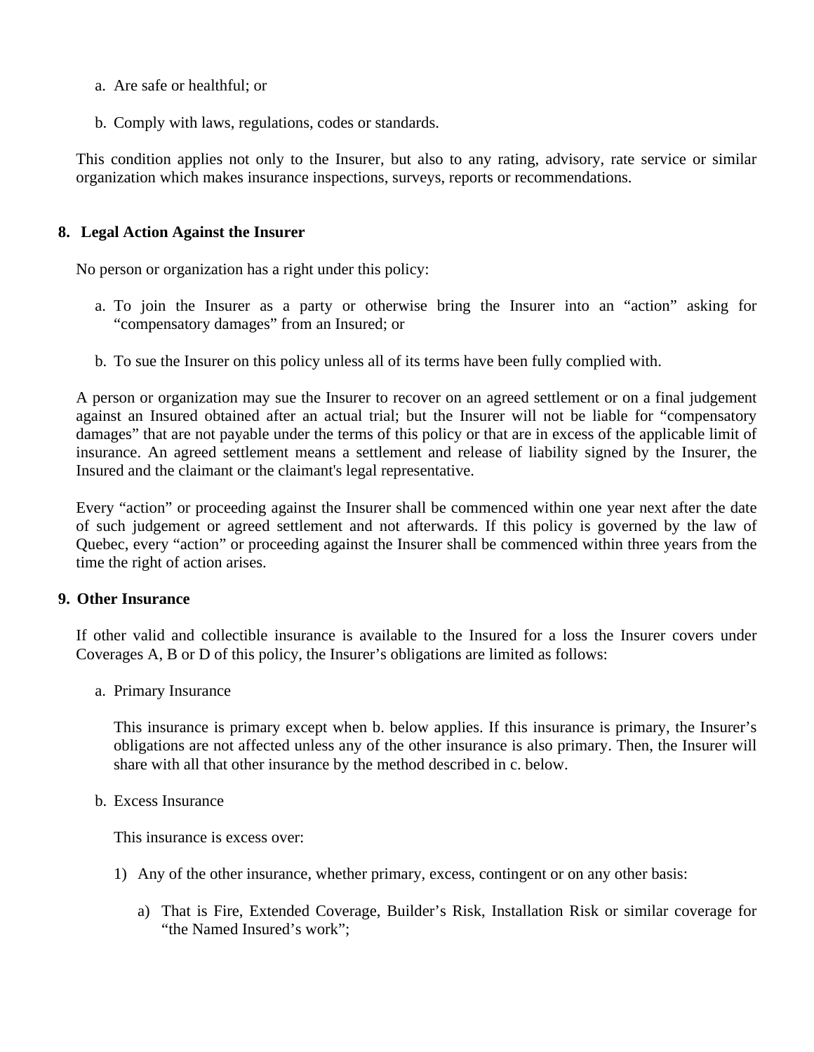- a. Are safe or healthful; or
- b. Comply with laws, regulations, codes or standards.

This condition applies not only to the Insurer, but also to any rating, advisory, rate service or similar organization which makes insurance inspections, surveys, reports or recommendations.

### **8. Legal Action Against the Insurer**

No person or organization has a right under this policy:

- a. To join the Insurer as a party or otherwise bring the Insurer into an "action" asking for "compensatory damages" from an Insured; or
- b. To sue the Insurer on this policy unless all of its terms have been fully complied with.

A person or organization may sue the Insurer to recover on an agreed settlement or on a final judgement against an Insured obtained after an actual trial; but the Insurer will not be liable for "compensatory damages" that are not payable under the terms of this policy or that are in excess of the applicable limit of insurance. An agreed settlement means a settlement and release of liability signed by the Insurer, the Insured and the claimant or the claimant's legal representative.

Every "action" or proceeding against the Insurer shall be commenced within one year next after the date of such judgement or agreed settlement and not afterwards. If this policy is governed by the law of Quebec, every "action" or proceeding against the Insurer shall be commenced within three years from the time the right of action arises.

### **9. Other Insurance**

If other valid and collectible insurance is available to the Insured for a loss the Insurer covers under Coverages A, B or D of this policy, the Insurer's obligations are limited as follows:

a. Primary Insurance

This insurance is primary except when b. below applies. If this insurance is primary, the Insurer's obligations are not affected unless any of the other insurance is also primary. Then, the Insurer will share with all that other insurance by the method described in c. below.

### b. Excess Insurance

This insurance is excess over:

- 1) Any of the other insurance, whether primary, excess, contingent or on any other basis:
	- a) That is Fire, Extended Coverage, Builder's Risk, Installation Risk or similar coverage for "the Named Insured's work";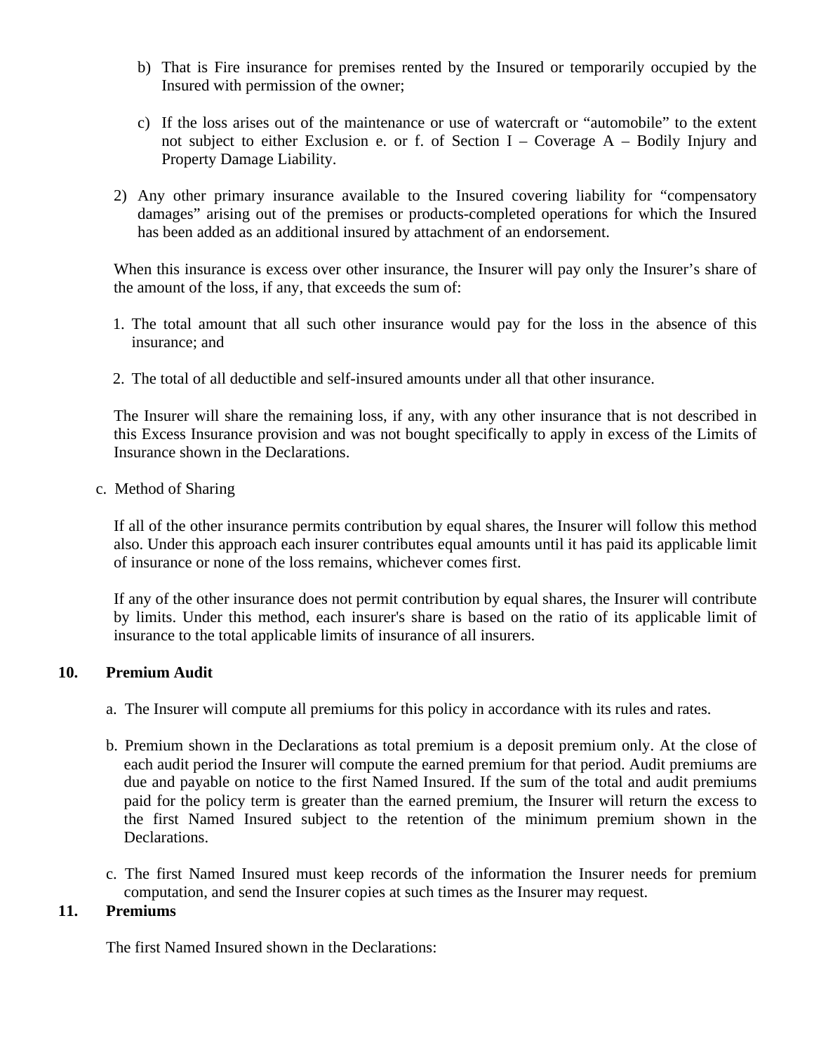- b) That is Fire insurance for premises rented by the Insured or temporarily occupied by the Insured with permission of the owner;
- c) If the loss arises out of the maintenance or use of watercraft or "automobile" to the extent not subject to either Exclusion e. or f. of Section I – Coverage A – Bodily Injury and Property Damage Liability.
- 2) Any other primary insurance available to the Insured covering liability for "compensatory damages" arising out of the premises or products-completed operations for which the Insured has been added as an additional insured by attachment of an endorsement.

When this insurance is excess over other insurance, the Insurer will pay only the Insurer's share of the amount of the loss, if any, that exceeds the sum of:

- 1. The total amount that all such other insurance would pay for the loss in the absence of this insurance; and
- 2. The total of all deductible and self-insured amounts under all that other insurance.

The Insurer will share the remaining loss, if any, with any other insurance that is not described in this Excess Insurance provision and was not bought specifically to apply in excess of the Limits of Insurance shown in the Declarations.

c. Method of Sharing

If all of the other insurance permits contribution by equal shares, the Insurer will follow this method also. Under this approach each insurer contributes equal amounts until it has paid its applicable limit of insurance or none of the loss remains, whichever comes first.

If any of the other insurance does not permit contribution by equal shares, the Insurer will contribute by limits. Under this method, each insurer's share is based on the ratio of its applicable limit of insurance to the total applicable limits of insurance of all insurers.

### **10. Premium Audit**

- a. The Insurer will compute all premiums for this policy in accordance with its rules and rates.
- b. Premium shown in the Declarations as total premium is a deposit premium only. At the close of each audit period the Insurer will compute the earned premium for that period. Audit premiums are due and payable on notice to the first Named Insured. If the sum of the total and audit premiums paid for the policy term is greater than the earned premium, the Insurer will return the excess to the first Named Insured subject to the retention of the minimum premium shown in the Declarations.
- c. The first Named Insured must keep records of the information the Insurer needs for premium computation, and send the Insurer copies at such times as the Insurer may request.

### **11. Premiums**

The first Named Insured shown in the Declarations: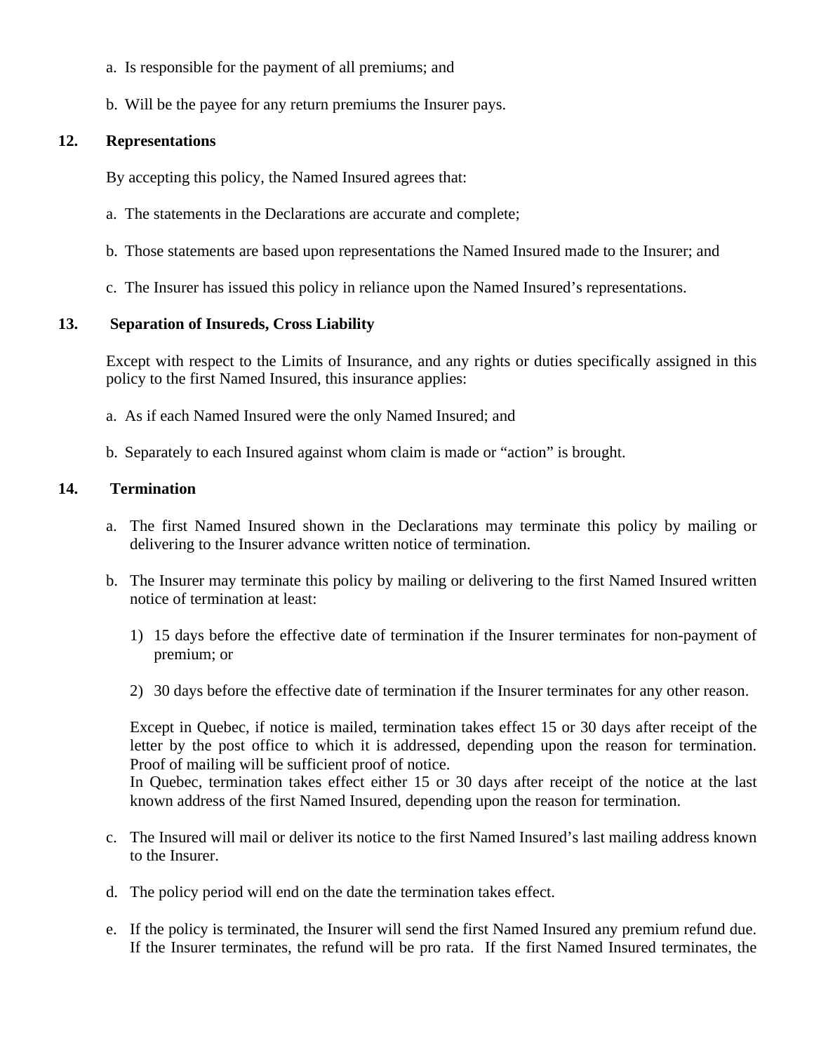- a. Is responsible for the payment of all premiums; and
- b. Will be the payee for any return premiums the Insurer pays.

# **12. Representations**

By accepting this policy, the Named Insured agrees that:

- a. The statements in the Declarations are accurate and complete;
- b. Those statements are based upon representations the Named Insured made to the Insurer; and
- c. The Insurer has issued this policy in reliance upon the Named Insured's representations.

# **13. Separation of Insureds, Cross Liability**

Except with respect to the Limits of Insurance, and any rights or duties specifically assigned in this policy to the first Named Insured, this insurance applies:

- a. As if each Named Insured were the only Named Insured; and
- b. Separately to each Insured against whom claim is made or "action" is brought.

# **14. Termination**

- a. The first Named Insured shown in the Declarations may terminate this policy by mailing or delivering to the Insurer advance written notice of termination.
- b. The Insurer may terminate this policy by mailing or delivering to the first Named Insured written notice of termination at least:
	- 1) 15 days before the effective date of termination if the Insurer terminates for non-payment of premium; or
	- 2) 30 days before the effective date of termination if the Insurer terminates for any other reason.

Except in Quebec, if notice is mailed, termination takes effect 15 or 30 days after receipt of the letter by the post office to which it is addressed, depending upon the reason for termination. Proof of mailing will be sufficient proof of notice.

In Quebec, termination takes effect either 15 or 30 days after receipt of the notice at the last known address of the first Named Insured, depending upon the reason for termination.

- c. The Insured will mail or deliver its notice to the first Named Insured's last mailing address known to the Insurer.
- d. The policy period will end on the date the termination takes effect.
- e. If the policy is terminated, the Insurer will send the first Named Insured any premium refund due. If the Insurer terminates, the refund will be pro rata. If the first Named Insured terminates, the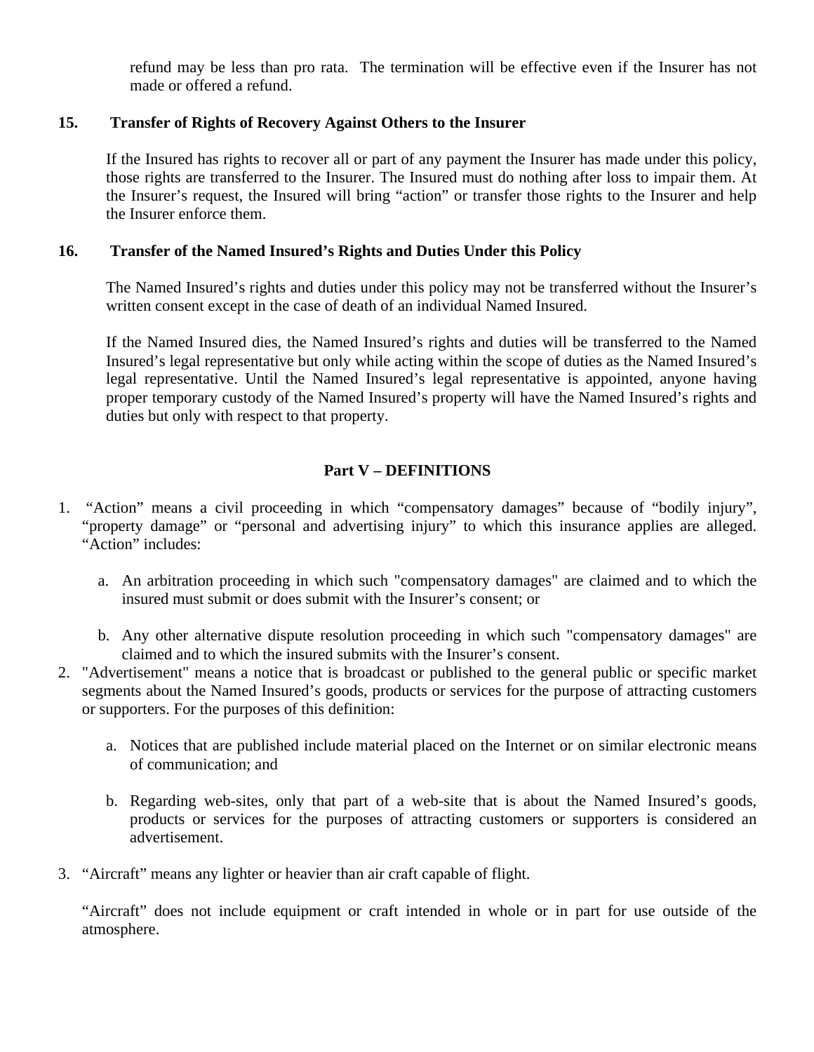refund may be less than pro rata. The termination will be effective even if the Insurer has not made or offered a refund.

## **15. Transfer of Rights of Recovery Against Others to the Insurer**

If the Insured has rights to recover all or part of any payment the Insurer has made under this policy, those rights are transferred to the Insurer. The Insured must do nothing after loss to impair them. At the Insurer's request, the Insured will bring "action" or transfer those rights to the Insurer and help the Insurer enforce them.

## **16. Transfer of the Named Insured's Rights and Duties Under this Policy**

The Named Insured's rights and duties under this policy may not be transferred without the Insurer's written consent except in the case of death of an individual Named Insured.

If the Named Insured dies, the Named Insured's rights and duties will be transferred to the Named Insured's legal representative but only while acting within the scope of duties as the Named Insured's legal representative. Until the Named Insured's legal representative is appointed, anyone having proper temporary custody of the Named Insured's property will have the Named Insured's rights and duties but only with respect to that property.

# **Part V – DEFINITIONS**

- 1. "Action" means a civil proceeding in which "compensatory damages" because of "bodily injury", "property damage" or "personal and advertising injury" to which this insurance applies are alleged. "Action" includes:
	- a. An arbitration proceeding in which such "compensatory damages" are claimed and to which the insured must submit or does submit with the Insurer's consent; or
	- b. Any other alternative dispute resolution proceeding in which such "compensatory damages" are claimed and to which the insured submits with the Insurer's consent.
- 2. "Advertisement" means a notice that is broadcast or published to the general public or specific market segments about the Named Insured's goods, products or services for the purpose of attracting customers or supporters. For the purposes of this definition:
	- a. Notices that are published include material placed on the Internet or on similar electronic means of communication; and
	- b. Regarding web-sites, only that part of a web-site that is about the Named Insured's goods, products or services for the purposes of attracting customers or supporters is considered an advertisement.
- 3. "Aircraft" means any lighter or heavier than air craft capable of flight.

"Aircraft" does not include equipment or craft intended in whole or in part for use outside of the atmosphere.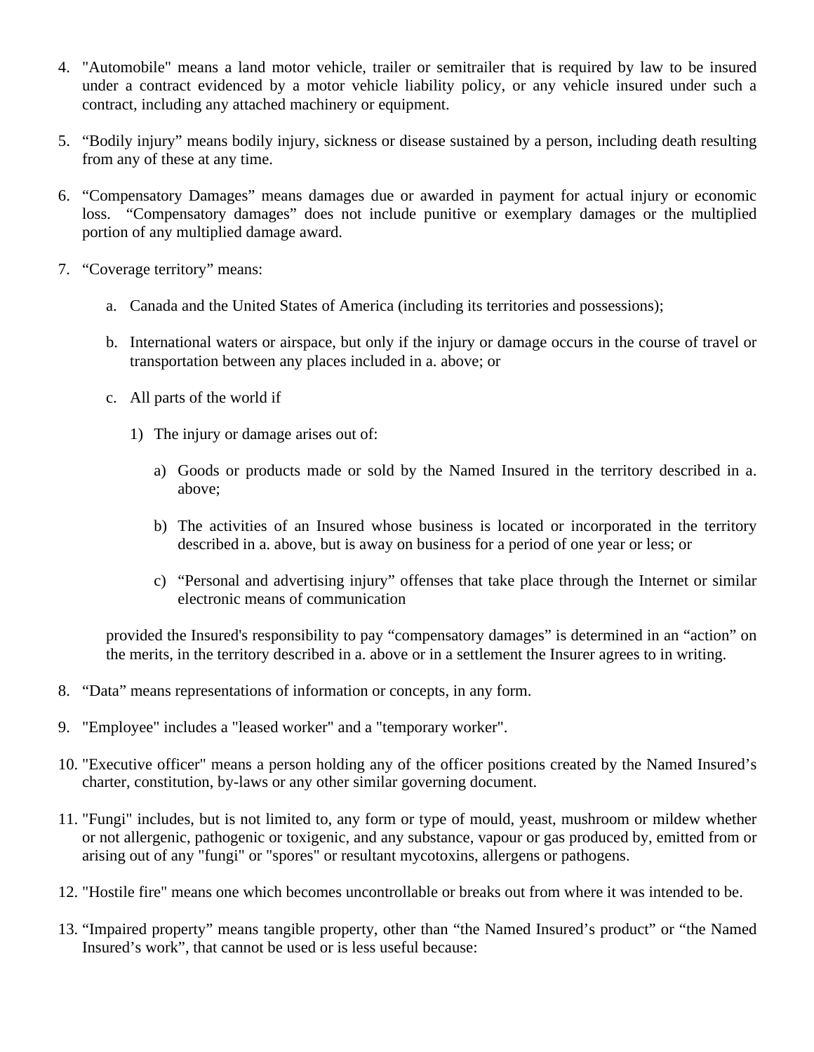- 4. "Automobile" means a land motor vehicle, trailer or semitrailer that is required by law to be insured under a contract evidenced by a motor vehicle liability policy, or any vehicle insured under such a contract, including any attached machinery or equipment.
- 5. "Bodily injury" means bodily injury, sickness or disease sustained by a person, including death resulting from any of these at any time.
- 6. "Compensatory Damages" means damages due or awarded in payment for actual injury or economic loss. "Compensatory damages" does not include punitive or exemplary damages or the multiplied portion of any multiplied damage award.
- 7. "Coverage territory" means:
	- a. Canada and the United States of America (including its territories and possessions);
	- b. International waters or airspace, but only if the injury or damage occurs in the course of travel or transportation between any places included in a. above; or
	- c. All parts of the world if
		- 1) The injury or damage arises out of:
			- a) Goods or products made or sold by the Named Insured in the territory described in a. above;
			- b) The activities of an Insured whose business is located or incorporated in the territory described in a. above, but is away on business for a period of one year or less; or
			- c) "Personal and advertising injury" offenses that take place through the Internet or similar electronic means of communication

provided the Insured's responsibility to pay "compensatory damages" is determined in an "action" on the merits, in the territory described in a. above or in a settlement the Insurer agrees to in writing.

- 8. "Data" means representations of information or concepts, in any form.
- 9. "Employee" includes a "leased worker" and a "temporary worker".
- 10. "Executive officer" means a person holding any of the officer positions created by the Named Insured's charter, constitution, by-laws or any other similar governing document.
- 11. "Fungi" includes, but is not limited to, any form or type of mould, yeast, mushroom or mildew whether or not allergenic, pathogenic or toxigenic, and any substance, vapour or gas produced by, emitted from or arising out of any "fungi" or "spores" or resultant mycotoxins, allergens or pathogens.
- 12. "Hostile fire" means one which becomes uncontrollable or breaks out from where it was intended to be.
- 13. "Impaired property" means tangible property, other than "the Named Insured's product" or "the Named Insured's work", that cannot be used or is less useful because: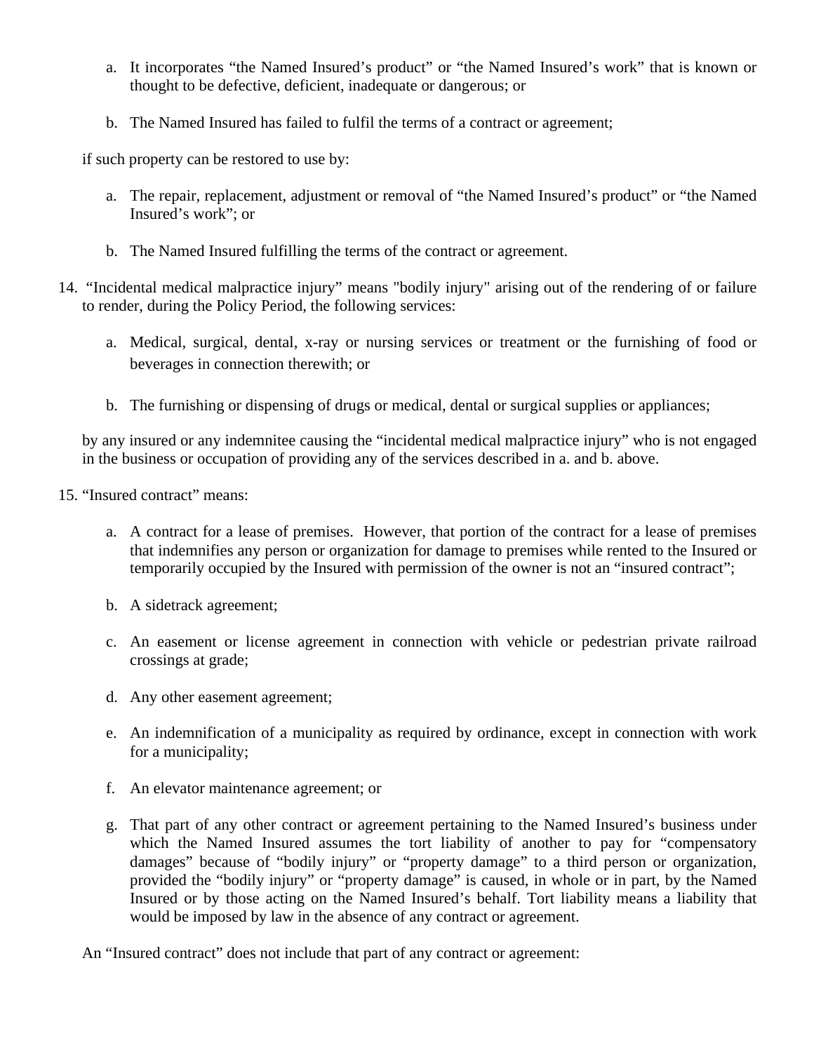- a. It incorporates "the Named Insured's product" or "the Named Insured's work" that is known or thought to be defective, deficient, inadequate or dangerous; or
- b. The Named Insured has failed to fulfil the terms of a contract or agreement;

if such property can be restored to use by:

- a. The repair, replacement, adjustment or removal of "the Named Insured's product" or "the Named Insured's work"; or
- b. The Named Insured fulfilling the terms of the contract or agreement.
- 14. "Incidental medical malpractice injury" means "bodily injury" arising out of the rendering of or failure to render, during the Policy Period, the following services:
	- a. Medical, surgical, dental, x-ray or nursing services or treatment or the furnishing of food or beverages in connection therewith; or
	- b. The furnishing or dispensing of drugs or medical, dental or surgical supplies or appliances;

by any insured or any indemnitee causing the "incidental medical malpractice injury" who is not engaged in the business or occupation of providing any of the services described in a. and b. above.

- 15. "Insured contract" means:
	- a. A contract for a lease of premises. However, that portion of the contract for a lease of premises that indemnifies any person or organization for damage to premises while rented to the Insured or temporarily occupied by the Insured with permission of the owner is not an "insured contract";
	- b. A sidetrack agreement;
	- c. An easement or license agreement in connection with vehicle or pedestrian private railroad crossings at grade;
	- d. Any other easement agreement;
	- e. An indemnification of a municipality as required by ordinance, except in connection with work for a municipality;
	- f. An elevator maintenance agreement; or
	- g. That part of any other contract or agreement pertaining to the Named Insured's business under which the Named Insured assumes the tort liability of another to pay for "compensatory damages" because of "bodily injury" or "property damage" to a third person or organization, provided the "bodily injury" or "property damage" is caused, in whole or in part, by the Named Insured or by those acting on the Named Insured's behalf. Tort liability means a liability that would be imposed by law in the absence of any contract or agreement.

An "Insured contract" does not include that part of any contract or agreement: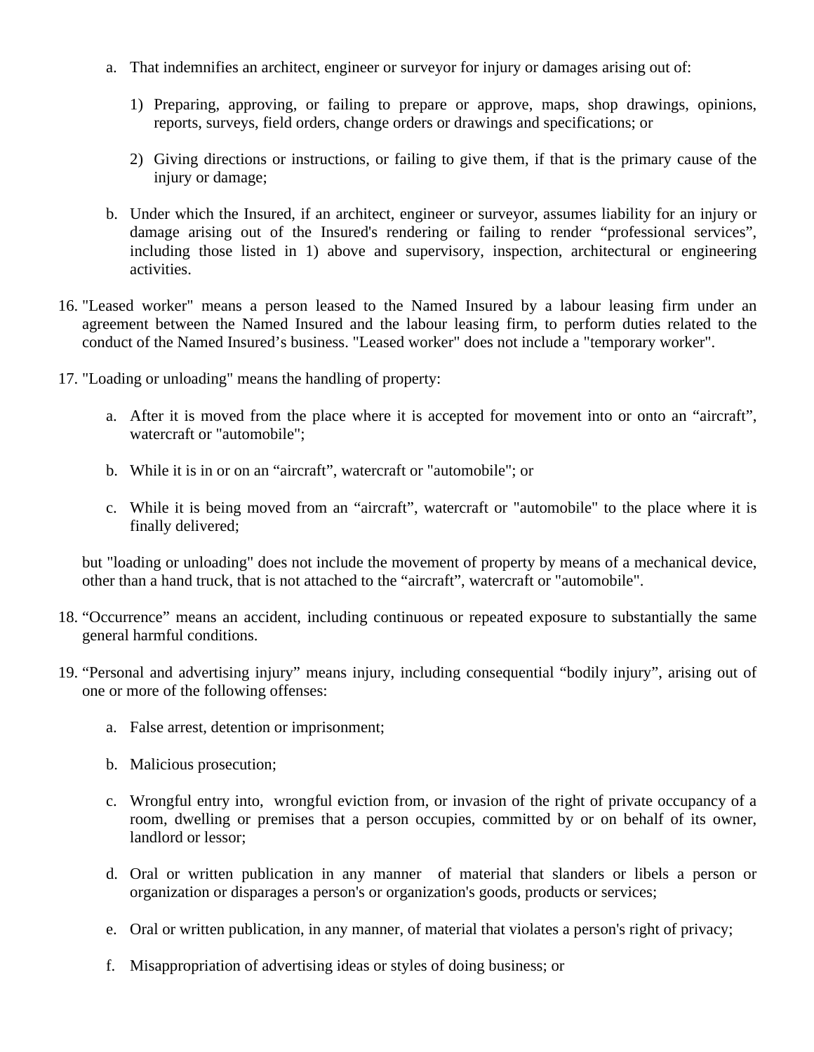- a. That indemnifies an architect, engineer or surveyor for injury or damages arising out of:
	- 1) Preparing, approving, or failing to prepare or approve, maps, shop drawings, opinions, reports, surveys, field orders, change orders or drawings and specifications; or
	- 2) Giving directions or instructions, or failing to give them, if that is the primary cause of the injury or damage;
- b. Under which the Insured, if an architect, engineer or surveyor, assumes liability for an injury or damage arising out of the Insured's rendering or failing to render "professional services", including those listed in 1) above and supervisory, inspection, architectural or engineering activities.
- 16. "Leased worker" means a person leased to the Named Insured by a labour leasing firm under an agreement between the Named Insured and the labour leasing firm, to perform duties related to the conduct of the Named Insured's business. "Leased worker" does not include a "temporary worker".
- 17. "Loading or unloading" means the handling of property:
	- a. After it is moved from the place where it is accepted for movement into or onto an "aircraft", watercraft or "automobile";
	- b. While it is in or on an "aircraft", watercraft or "automobile"; or
	- c. While it is being moved from an "aircraft", watercraft or "automobile" to the place where it is finally delivered;

but "loading or unloading" does not include the movement of property by means of a mechanical device, other than a hand truck, that is not attached to the "aircraft", watercraft or "automobile".

- 18. "Occurrence" means an accident, including continuous or repeated exposure to substantially the same general harmful conditions.
- 19. "Personal and advertising injury" means injury, including consequential "bodily injury", arising out of one or more of the following offenses:
	- a. False arrest, detention or imprisonment;
	- b. Malicious prosecution;
	- c. Wrongful entry into, wrongful eviction from, or invasion of the right of private occupancy of a room, dwelling or premises that a person occupies, committed by or on behalf of its owner, landlord or lessor;
	- d. Oral or written publication in any manner of material that slanders or libels a person or organization or disparages a person's or organization's goods, products or services;
	- e. Oral or written publication, in any manner, of material that violates a person's right of privacy;
	- f. Misappropriation of advertising ideas or styles of doing business; or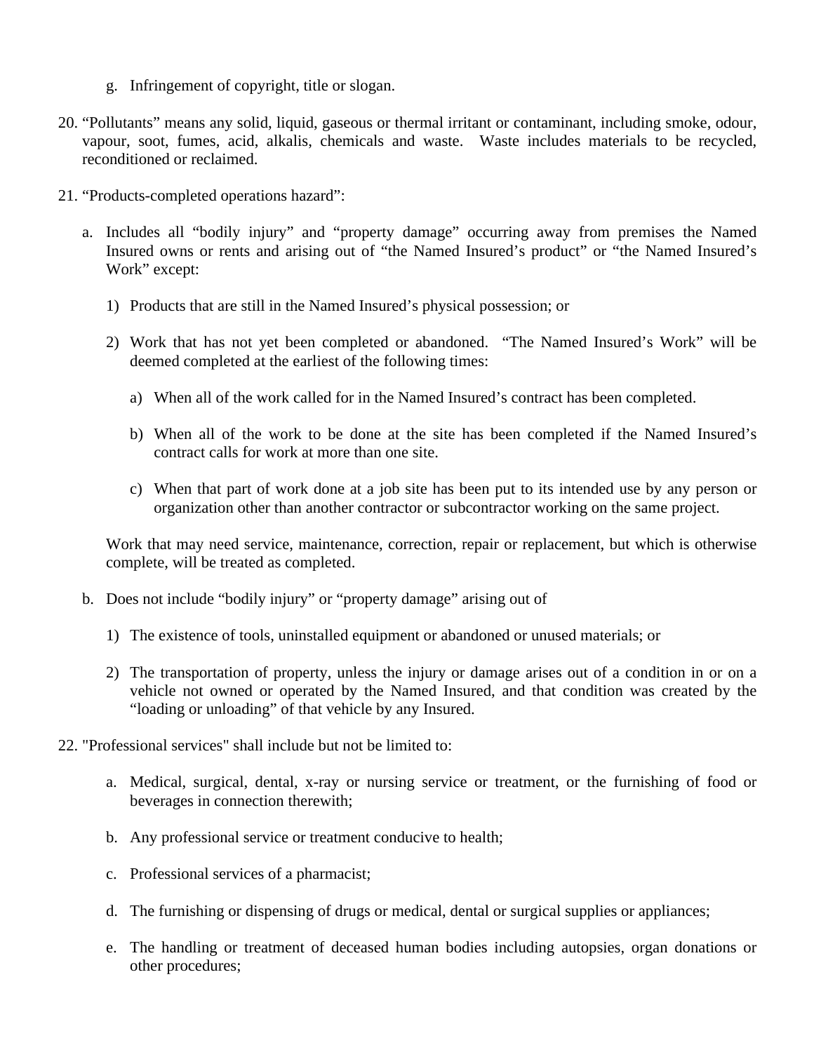- g. Infringement of copyright, title or slogan.
- 20. "Pollutants" means any solid, liquid, gaseous or thermal irritant or contaminant, including smoke, odour, vapour, soot, fumes, acid, alkalis, chemicals and waste. Waste includes materials to be recycled, reconditioned or reclaimed.
- 21. "Products-completed operations hazard":
	- a. Includes all "bodily injury" and "property damage" occurring away from premises the Named Insured owns or rents and arising out of "the Named Insured's product" or "the Named Insured's Work" except:
		- 1) Products that are still in the Named Insured's physical possession; or
		- 2) Work that has not yet been completed or abandoned. "The Named Insured's Work" will be deemed completed at the earliest of the following times:
			- a) When all of the work called for in the Named Insured's contract has been completed.
			- b) When all of the work to be done at the site has been completed if the Named Insured's contract calls for work at more than one site.
			- c) When that part of work done at a job site has been put to its intended use by any person or organization other than another contractor or subcontractor working on the same project.

Work that may need service, maintenance, correction, repair or replacement, but which is otherwise complete, will be treated as completed.

- b. Does not include "bodily injury" or "property damage" arising out of
	- 1) The existence of tools, uninstalled equipment or abandoned or unused materials; or
	- 2) The transportation of property, unless the injury or damage arises out of a condition in or on a vehicle not owned or operated by the Named Insured, and that condition was created by the "loading or unloading" of that vehicle by any Insured.
- 22. "Professional services" shall include but not be limited to:
	- a. Medical, surgical, dental, x-ray or nursing service or treatment, or the furnishing of food or beverages in connection therewith;
	- b. Any professional service or treatment conducive to health;
	- c. Professional services of a pharmacist;
	- d. The furnishing or dispensing of drugs or medical, dental or surgical supplies or appliances;
	- e. The handling or treatment of deceased human bodies including autopsies, organ donations or other procedures;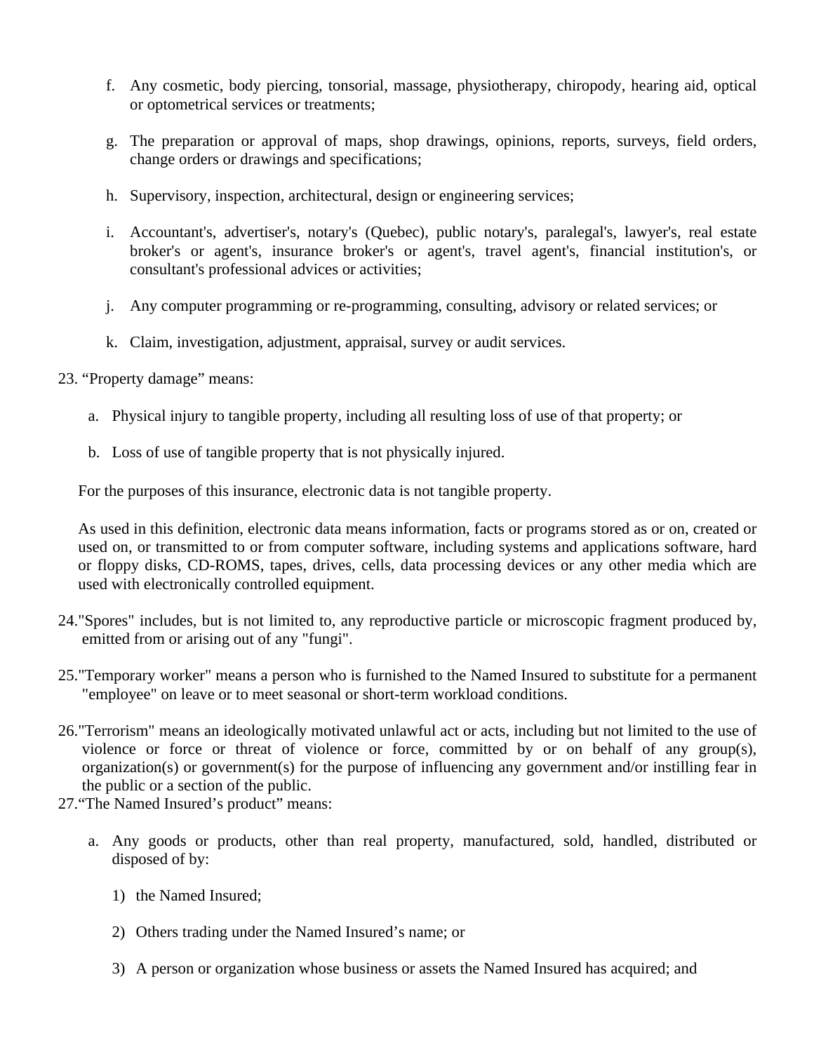- f. Any cosmetic, body piercing, tonsorial, massage, physiotherapy, chiropody, hearing aid, optical or optometrical services or treatments;
- g. The preparation or approval of maps, shop drawings, opinions, reports, surveys, field orders, change orders or drawings and specifications;
- h. Supervisory, inspection, architectural, design or engineering services;
- i. Accountant's, advertiser's, notary's (Quebec), public notary's, paralegal's, lawyer's, real estate broker's or agent's, insurance broker's or agent's, travel agent's, financial institution's, or consultant's professional advices or activities;
- j. Any computer programming or re-programming, consulting, advisory or related services; or
- k. Claim, investigation, adjustment, appraisal, survey or audit services.
- 23. "Property damage" means:
	- a. Physical injury to tangible property, including all resulting loss of use of that property; or
	- b. Loss of use of tangible property that is not physically injured.

For the purposes of this insurance, electronic data is not tangible property.

As used in this definition, electronic data means information, facts or programs stored as or on, created or used on, or transmitted to or from computer software, including systems and applications software, hard or floppy disks, CD-ROMS, tapes, drives, cells, data processing devices or any other media which are used with electronically controlled equipment.

- 24."Spores" includes, but is not limited to, any reproductive particle or microscopic fragment produced by, emitted from or arising out of any "fungi".
- 25."Temporary worker" means a person who is furnished to the Named Insured to substitute for a permanent "employee" on leave or to meet seasonal or short-term workload conditions.
- 26."Terrorism" means an ideologically motivated unlawful act or acts, including but not limited to the use of violence or force or threat of violence or force, committed by or on behalf of any group(s), organization(s) or government(s) for the purpose of influencing any government and/or instilling fear in the public or a section of the public.
- 27."The Named Insured's product" means:
	- a. Any goods or products, other than real property, manufactured, sold, handled, distributed or disposed of by:
		- 1) the Named Insured;
		- 2) Others trading under the Named Insured's name; or
		- 3) A person or organization whose business or assets the Named Insured has acquired; and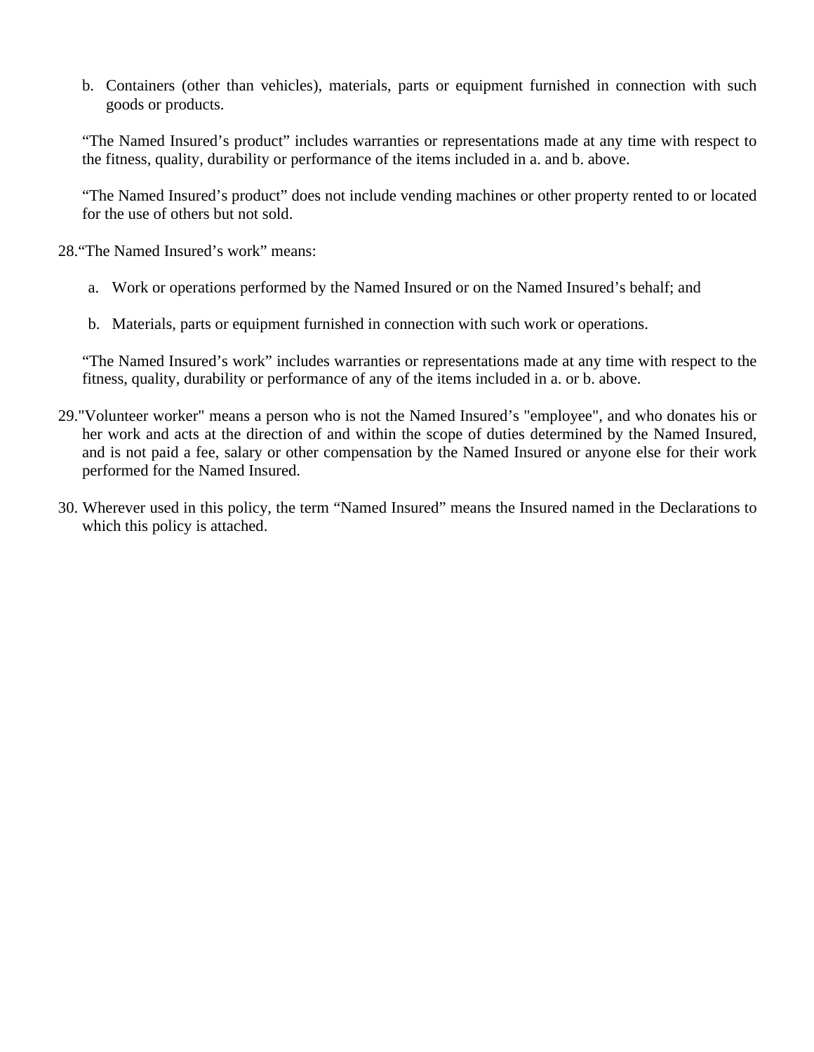b. Containers (other than vehicles), materials, parts or equipment furnished in connection with such goods or products.

"The Named Insured's product" includes warranties or representations made at any time with respect to the fitness, quality, durability or performance of the items included in a. and b. above.

"The Named Insured's product" does not include vending machines or other property rented to or located for the use of others but not sold.

28."The Named Insured's work" means:

- a. Work or operations performed by the Named Insured or on the Named Insured's behalf; and
- b. Materials, parts or equipment furnished in connection with such work or operations.

"The Named Insured's work" includes warranties or representations made at any time with respect to the fitness, quality, durability or performance of any of the items included in a. or b. above.

- 29."Volunteer worker" means a person who is not the Named Insured's "employee", and who donates his or her work and acts at the direction of and within the scope of duties determined by the Named Insured, and is not paid a fee, salary or other compensation by the Named Insured or anyone else for their work performed for the Named Insured.
- 30. Wherever used in this policy, the term "Named Insured" means the Insured named in the Declarations to which this policy is attached.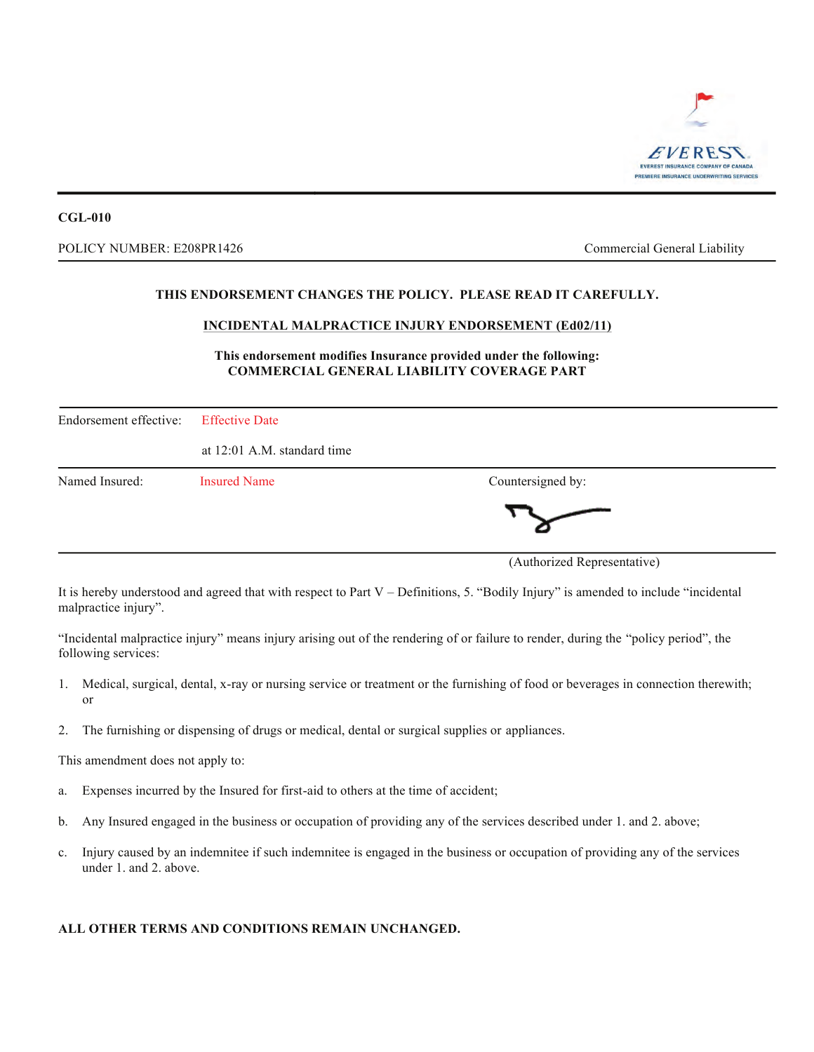

#### POLICY NUMBER: E208PR1426 **EXECUTE:** Commercial General Liability

#### **THIS ENDORSEMENT CHANGES THE POLICY. PLEASE READ IT CAREFULLY.**

#### **INCIDENTAL MALPRACTICE INJURY ENDORSEMENT (Ed02/11)**

#### **This endorsement modifies Insurance provided under the following: COMMERCIAL GENERAL LIABILITY COVERAGE PART**

| Endorsement effective: | <b>Effective Date</b>       |                             |
|------------------------|-----------------------------|-----------------------------|
|                        | at 12:01 A.M. standard time |                             |
| Named Insured:         | <b>Insured Name</b>         | Countersigned by:           |
|                        |                             |                             |
|                        |                             | (Authorized Representative) |

It is hereby understood and agreed that with respect to Part V – Definitions, 5. "Bodily Injury" is amended to include "incidental malpractice injury".

"Incidental malpractice injury" means injury arising out of the rendering of or failure to render, during the "policy period", the following services:

- 1. Medical, surgical, dental, x-ray or nursing service or treatment or the furnishing of food or beverages in connection therewith; or
- 2. The furnishing or dispensing of drugs or medical, dental or surgical supplies or appliances.

This amendment does not apply to:

- a. Expenses incurred by the Insured for first-aid to others at the time of accident;
- b. Any Insured engaged in the business or occupation of providing any of the services described under 1. and 2. above;
- c. Injury caused by an indemnitee if such indemnitee is engaged in the business or occupation of providing any of the services under 1. and 2. above.

#### **ALL OTHER TERMS AND CONDITIONS REMAIN UNCHANGED.**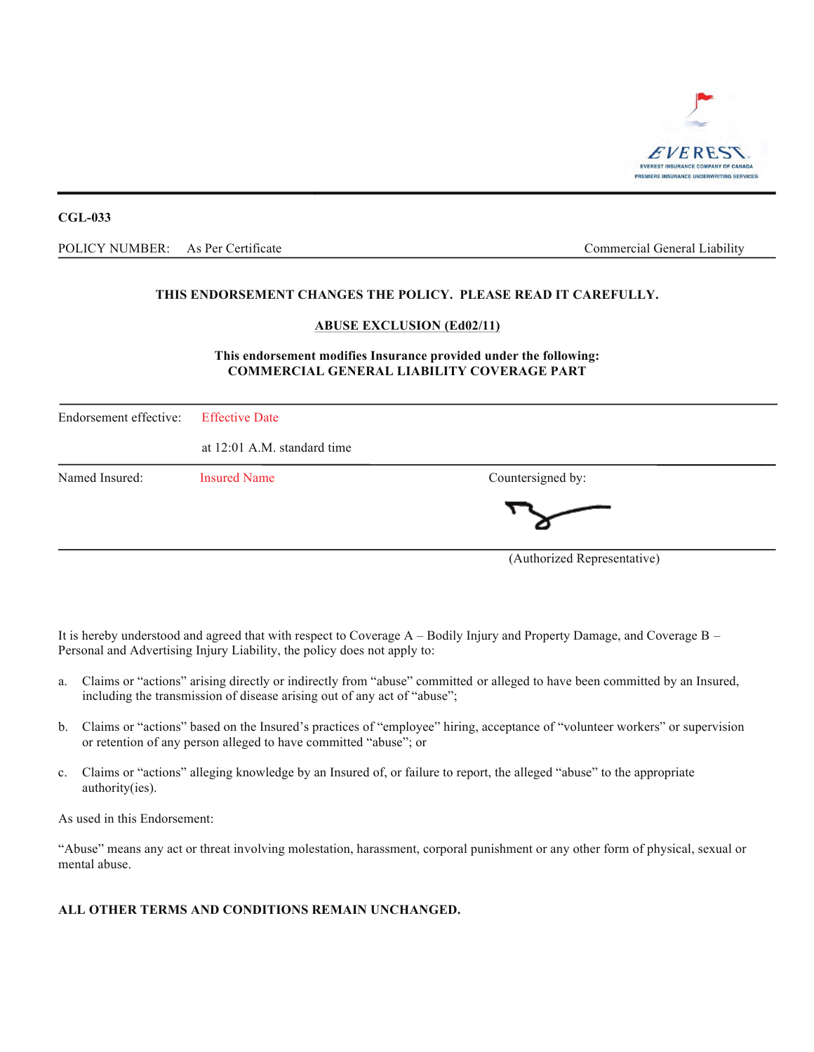

POLICY NUMBER: As Per Certificate and the commercial General Liability Commercial General Liability As Per Certificate

#### **THIS ENDORSEMENT CHANGES THE POLICY. PLEASE READ IT CAREFULLY.**

#### **ABUSE EXCLUSION (Ed02/11)**

#### **This endorsement modifies Insurance provided under the following: COMMERCIAL GENERAL LIABILITY COVERAGE PART**

| Endorsement effective: | <b>Effective Date</b>       |                             |
|------------------------|-----------------------------|-----------------------------|
|                        | at 12:01 A.M. standard time |                             |
| Named Insured:         | <b>Insured Name</b>         | Countersigned by:           |
|                        |                             |                             |
|                        |                             | (Authorized Representative) |

It is hereby understood and agreed that with respect to Coverage A – Bodily Injury and Property Damage, and Coverage B – Personal and Advertising Injury Liability, the policy does not apply to:

- a. Claims or "actions" arising directly or indirectly from "abuse" committed or alleged to have been committed by an Insured, including the transmission of disease arising out of any act of "abuse";
- b. Claims or "actions" based on the Insured's practices of "employee" hiring, acceptance of "volunteer workers" or supervision or retention of any person alleged to have committed "abuse"; or
- c. Claims or "actions" alleging knowledge by an Insured of, or failure to report, the alleged "abuse" to the appropriate authority(ies).

As used in this Endorsement:

"Abuse" means any act or threat involving molestation, harassment, corporal punishment or any other form of physical, sexual or mental abuse.

#### **ALL OTHER TERMS AND CONDITIONS REMAIN UNCHANGED.**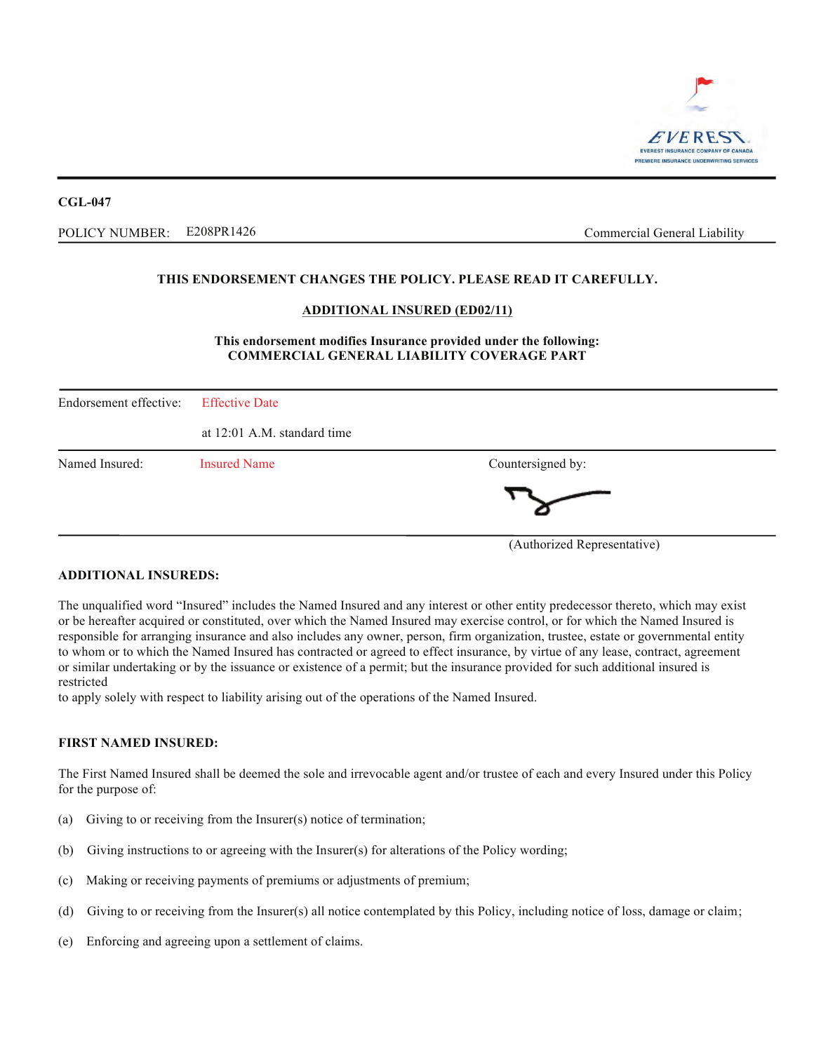

POLICY NUMBER: E208PR1426 Commercial General Liability E208PR1426

#### **THIS ENDORSEMENT CHANGES THE POLICY. PLEASE READ IT CAREFULLY.**

#### **ADDITIONAL INSURED (ED02/11)**

#### **This endorsement modifies Insurance provided under the following: COMMERCIAL GENERAL LIABILITY COVERAGE PART**

| Endorsement effective: | <b>Effective Date</b>       |                   |  |
|------------------------|-----------------------------|-------------------|--|
|                        | at 12:01 A.M. standard time |                   |  |
| Named Insured:         | <b>Insured Name</b>         | Countersigned by: |  |
|                        |                             |                   |  |

(Authorized Representative)

#### **ADDITIONAL INSUREDS:**

The unqualified word "Insured" includes the Named Insured and any interest or other entity predecessor thereto, which may exist or be hereafter acquired or constituted, over which the Named Insured may exercise control, or for which the Named Insured is responsible for arranging insurance and also includes any owner, person, firm organization, trustee, estate or governmental entity to whom or to which the Named Insured has contracted or agreed to effect insurance, by virtue of any lease, contract, agreement or similar undertaking or by the issuance or existence of a permit; but the insurance provided for such additional insured is restricted

to apply solely with respect to liability arising out of the operations of the Named Insured.

#### **FIRST NAMED INSURED:**

The First Named Insured shall be deemed the sole and irrevocable agent and/or trustee of each and every Insured under this Policy for the purpose of:

- (a) Giving to or receiving from the Insurer(s) notice of termination;
- (b) Giving instructions to or agreeing with the Insurer(s) for alterations of the Policy wording;
- (c) Making or receiving payments of premiums or adjustments of premium;
- (d) Giving to or receiving from the Insurer(s) all notice contemplated by this Policy, including notice of loss, damage or claim;
- (e) Enforcing and agreeing upon a settlement of claims.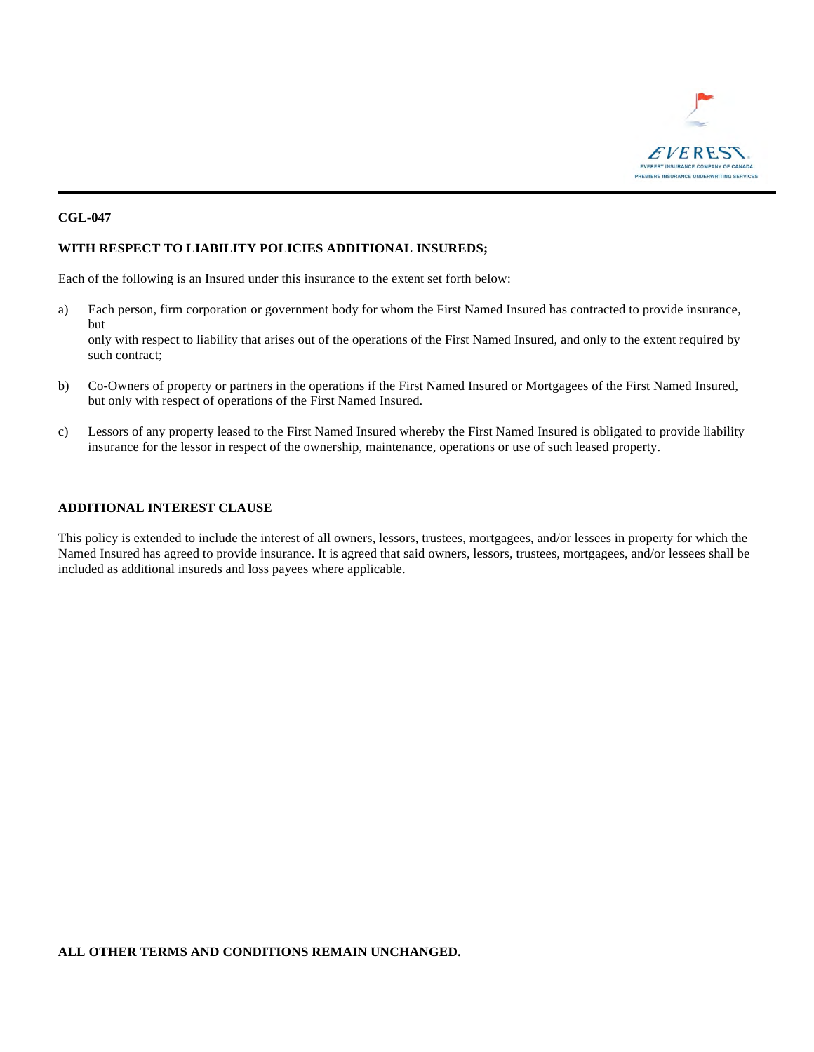

#### **WITH RESPECT TO LIABILITY POLICIES ADDITIONAL INSUREDS;**

Each of the following is an Insured under this insurance to the extent set forth below:

- a) Each person, firm corporation or government body for whom the First Named Insured has contracted to provide insurance, but only with respect to liability that arises out of the operations of the First Named Insured, and only to the extent required by such contract;
- b) Co-Owners of property or partners in the operations if the First Named Insured or Mortgagees of the First Named Insured, but only with respect of operations of the First Named Insured.
- c) Lessors of any property leased to the First Named Insured whereby the First Named Insured is obligated to provide liability insurance for the lessor in respect of the ownership, maintenance, operations or use of such leased property.

#### **ADDITIONAL INTEREST CLAUSE**

This policy is extended to include the interest of all owners, lessors, trustees, mortgagees, and/or lessees in property for which the Named Insured has agreed to provide insurance. It is agreed that said owners, lessors, trustees, mortgagees, and/or lessees shall be included as additional insureds and loss payees where applicable.

#### **ALL OTHER TERMS AND CONDITIONS REMAIN UNCHANGED.**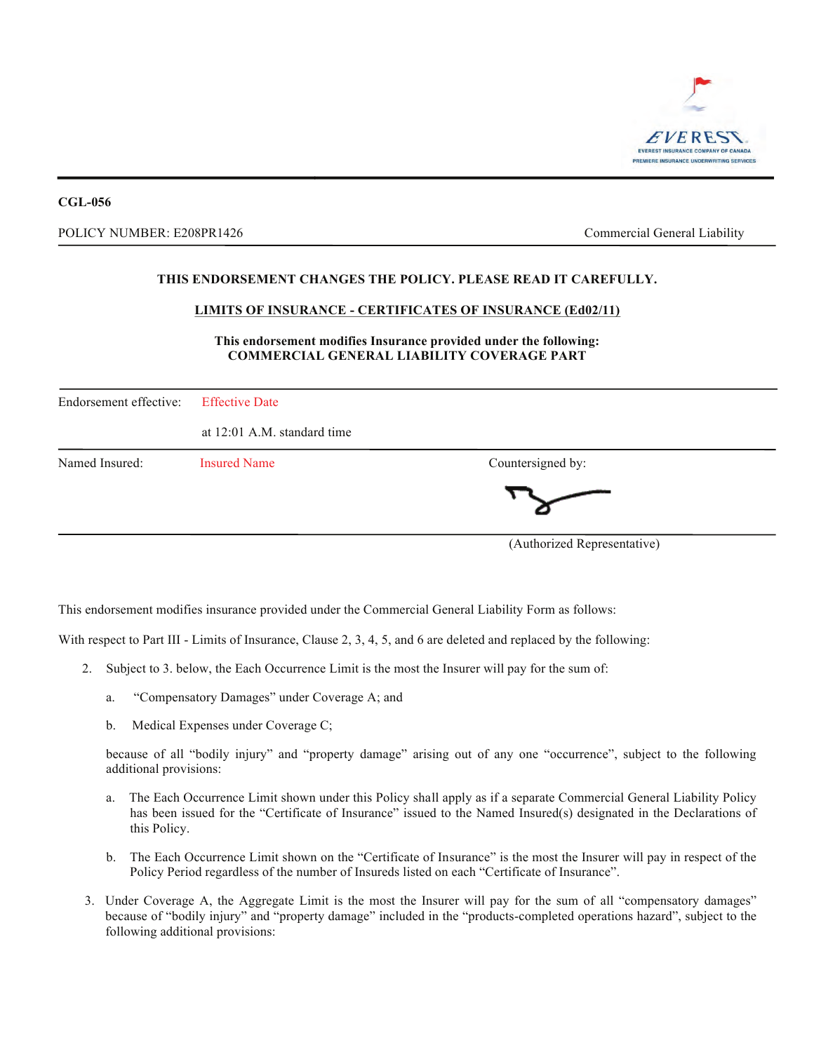

#### POLICY NUMBER: E208PR1426 **EXECUTE:** Commercial General Liability

#### **THIS ENDORSEMENT CHANGES THE POLICY. PLEASE READ IT CAREFULLY.**

#### **LIMITS OF INSURANCE - CERTIFICATES OF INSURANCE (Ed02/11)**

#### **This endorsement modifies Insurance provided under the following: COMMERCIAL GENERAL LIABILITY COVERAGE PART**

| Endorsement effective: | <b>Effective Date</b>       |                             |  |
|------------------------|-----------------------------|-----------------------------|--|
|                        | at 12:01 A.M. standard time |                             |  |
| Named Insured:         | <b>Insured Name</b>         | Countersigned by:           |  |
|                        |                             |                             |  |
|                        |                             | (Authorized Representative) |  |

This endorsement modifies insurance provided under the Commercial General Liability Form as follows:

With respect to Part III - Limits of Insurance, Clause 2, 3, 4, 5, and 6 are deleted and replaced by the following:

- 2. Subject to 3. below, the Each Occurrence Limit is the most the Insurer will pay for the sum of:
	- a. "Compensatory Damages" under Coverage A; and
	- b. Medical Expenses under Coverage C;

because of all "bodily injury" and "property damage" arising out of any one "occurrence", subject to the following additional provisions:

- a. The Each Occurrence Limit shown under this Policy shall apply as if a separate Commercial General Liability Policy has been issued for the "Certificate of Insurance" issued to the Named Insured(s) designated in the Declarations of this Policy.
- b. The Each Occurrence Limit shown on the "Certificate of Insurance" is the most the Insurer will pay in respect of the Policy Period regardless of the number of Insureds listed on each "Certificate of Insurance".
- 3. Under Coverage A, the Aggregate Limit is the most the Insurer will pay for the sum of all "compensatory damages" because of "bodily injury" and "property damage" included in the "products-completed operations hazard", subject to the following additional provisions: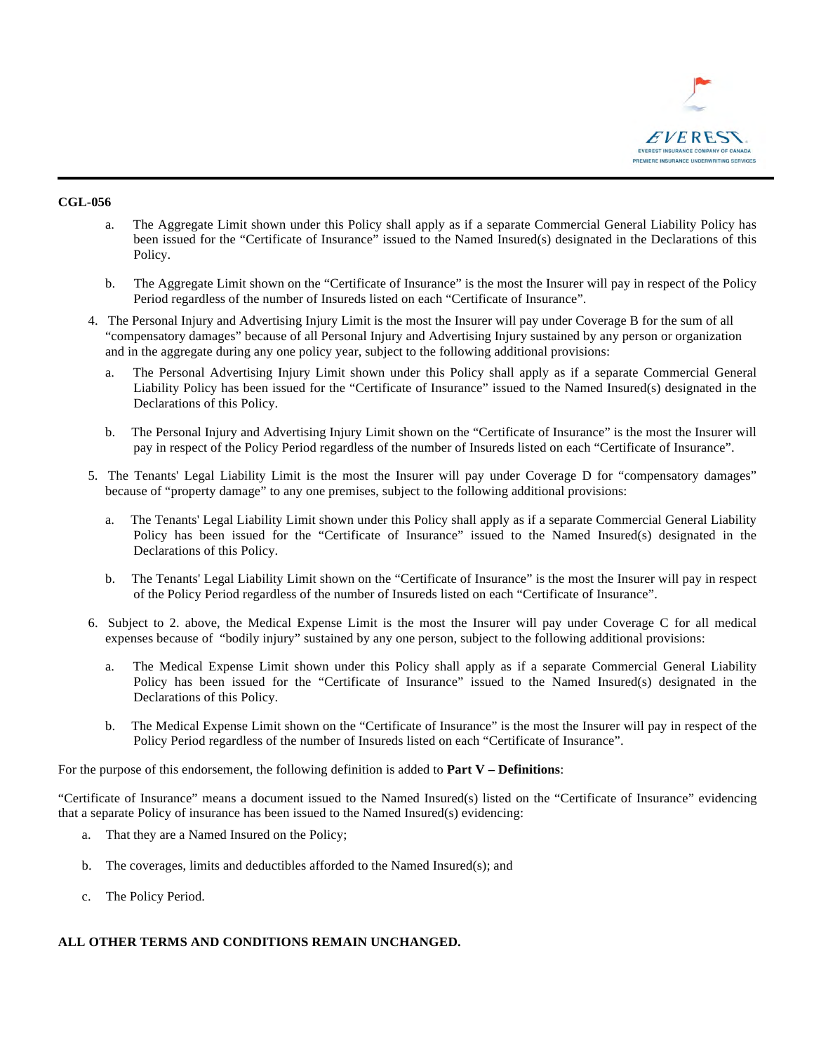

- a. The Aggregate Limit shown under this Policy shall apply as if a separate Commercial General Liability Policy has been issued for the "Certificate of Insurance" issued to the Named Insured(s) designated in the Declarations of this Policy.
- b. The Aggregate Limit shown on the "Certificate of Insurance" is the most the Insurer will pay in respect of the Policy Period regardless of the number of Insureds listed on each "Certificate of Insurance".
- 4. The Personal Injury and Advertising Injury Limit is the most the Insurer will pay under Coverage B for the sum of all "compensatory damages" because of all Personal Injury and Advertising Injury sustained by any person or organization and in the aggregate during any one policy year, subject to the following additional provisions:
	- a. The Personal Advertising Injury Limit shown under this Policy shall apply as if a separate Commercial General Liability Policy has been issued for the "Certificate of Insurance" issued to the Named Insured(s) designated in the Declarations of this Policy.
	- b. The Personal Injury and Advertising Injury Limit shown on the "Certificate of Insurance" is the most the Insurer will pay in respect of the Policy Period regardless of the number of Insureds listed on each "Certificate of Insurance".
- 5. The Tenants' Legal Liability Limit is the most the Insurer will pay under Coverage D for "compensatory damages" because of "property damage" to any one premises, subject to the following additional provisions:
	- a. The Tenants' Legal Liability Limit shown under this Policy shall apply as if a separate Commercial General Liability Policy has been issued for the "Certificate of Insurance" issued to the Named Insured(s) designated in the Declarations of this Policy.
	- b. The Tenants' Legal Liability Limit shown on the "Certificate of Insurance" is the most the Insurer will pay in respect of the Policy Period regardless of the number of Insureds listed on each "Certificate of Insurance".
- 6. Subject to 2. above, the Medical Expense Limit is the most the Insurer will pay under Coverage C for all medical expenses because of "bodily injury" sustained by any one person, subject to the following additional provisions:
	- a. The Medical Expense Limit shown under this Policy shall apply as if a separate Commercial General Liability Policy has been issued for the "Certificate of Insurance" issued to the Named Insured(s) designated in the Declarations of this Policy.
	- b. The Medical Expense Limit shown on the "Certificate of Insurance" is the most the Insurer will pay in respect of the Policy Period regardless of the number of Insureds listed on each "Certificate of Insurance".

For the purpose of this endorsement, the following definition is added to **Part V – Definitions**:

"Certificate of Insurance" means a document issued to the Named Insured(s) listed on the "Certificate of Insurance" evidencing that a separate Policy of insurance has been issued to the Named Insured(s) evidencing:

- a. That they are a Named Insured on the Policy;
- b. The coverages, limits and deductibles afforded to the Named Insured(s); and
- c. The Policy Period.

#### **ALL OTHER TERMS AND CONDITIONS REMAIN UNCHANGED.**